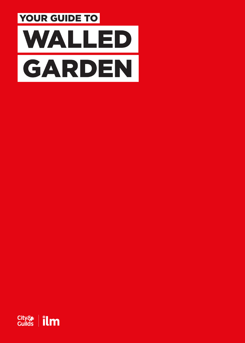

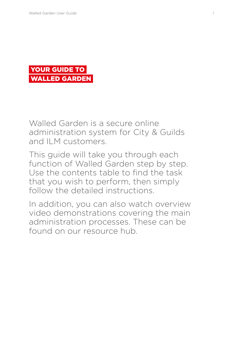

Walled Garden is a secure online administration system for City & Guilds and ILM customers.

This guide will take you through each function of Walled Garden step by step. Use the contents table to find the task that you wish to perform, then simply follow the detailed instructions.

In addition, you can also watch overview video demonstrations covering the main administration processes. These can be found on our resource hub.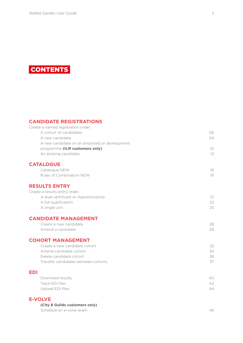

#### **[CANDIDATE REGISTRATIONS](#page-5-0)**

| Create a named registration order:            |    |
|-----------------------------------------------|----|
| A cohort of candidates                        | 06 |
| A new candidate                               | 09 |
| A new candidate on an endorsed or development |    |
| programme (ILM customers only)                | 10 |
| An existing candidate                         | 12 |
| <b>CATALOGUE</b>                              |    |
| Catalogue NEW                                 | 16 |
| Rules of Combination NEW                      | 18 |
| <b>RESULTS ENTRY</b>                          |    |
| Create a results entry order:                 |    |
| A dual certificate or Apprenticeship          | 21 |
| A full qualification                          | 23 |
| A single unit                                 | 25 |
| <b>CANDIDATE MANAGEMENT</b>                   |    |
| Create a new candidate                        | 28 |
| Amend a candidate                             | 29 |
| <b>COHORT MANAGEMENT</b>                      |    |
| Create a new candidate cohort                 | 32 |
| Amend candidate cohort                        | 34 |
| Delete candidate cohort                       | 36 |
| Transfer candidates between cohorts           | 37 |
| <b>EDI</b>                                    |    |
| Download results                              | 40 |
| Track EDI files                               | 42 |
| Upload EDI files                              | 44 |
|                                               |    |

#### **[E-VOLVE](#page-45-0)**

**(City & Guilds customers only)**

[Schedule an e-volve exam](#page-46-0) and the state of the state of the state of the state of the state of the state of the state of the state of the state of the state of the state of the state of the state of the state of the state o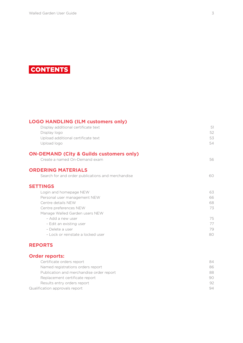

| <b>LOGO HANDLING (ILM customers only)</b>           |    |
|-----------------------------------------------------|----|
| Display additional certificate text                 | 51 |
| Display logo                                        | 52 |
| Upload additional certificate text                  | 53 |
| Upload logo                                         | 54 |
| <b>ON-DEMAND (City &amp; Guilds customers only)</b> |    |
| Create a named On-Demand exam                       | 56 |
| <b>ORDERING MATERIALS</b>                           |    |
| Search for and order publications and merchandise   | 60 |
| <b>SETTINGS</b>                                     |    |
| Login and homepage NEW                              | 63 |
| Personal user management NEW                        | 66 |
| Centre details NEW                                  | 68 |
| Centre preferences NEW                              | 73 |
| Manage Walled Garden users NEW                      |    |
| - Add a new user                                    | 75 |
| - Edit an existing user                             | 77 |
| - Delete a user                                     | 79 |
| - Lock or reinstate a locked user                   | 80 |
|                                                     |    |

## **[REPORTS](#page-83-0)**

## **[Order reports:](#page-83-0)**

| Certificate orders report                | 84 |
|------------------------------------------|----|
| Named registrations orders report        | 86 |
| Publication and merchandise order report | 88 |
| Replacement certificate report           | 90 |
| Results entry orders report              | 92 |
| Qualification approvals report           | 94 |
|                                          |    |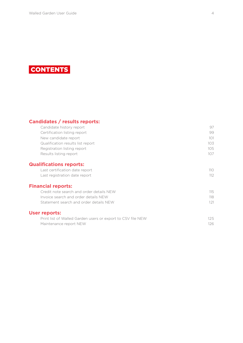

## **[Candidates / results reports:](#page-96-0)**

| Candidate history report                                    | 97               |
|-------------------------------------------------------------|------------------|
| Certification listing report                                | 99               |
| New candidate report                                        | 101              |
| Qualification results list report                           | 103              |
| Registration listing report                                 | 105              |
| Results listing report                                      | 107              |
| <b>Qualifications reports:</b>                              |                  |
| Last certification date report                              | 110 <sup>°</sup> |
| Last registration date report                               | 112              |
| <b>Financial reports:</b>                                   |                  |
| Credit note search and order details NEW                    | 115              |
| Invoice search and order details NEW                        | 118              |
| Statement search and order details NEW                      | 121              |
| <b>User reports:</b>                                        |                  |
| Print list of Walled Garden users or export to CSV file NEW | 125              |
| Maintenance report NEW                                      | 126              |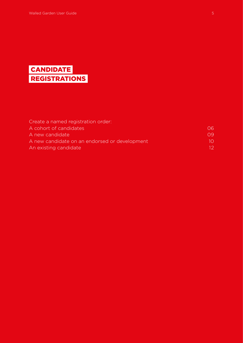# <span id="page-5-0"></span>**CANDIDATE** REGISTRATIONS

| Create a named registration order:            |             |
|-----------------------------------------------|-------------|
| A cohort of candidates                        | 06          |
| A new candidate                               | $\bigcap Q$ |
| A new candidate on an endorsed or development | 1()         |
| An existing candidate                         | 12.         |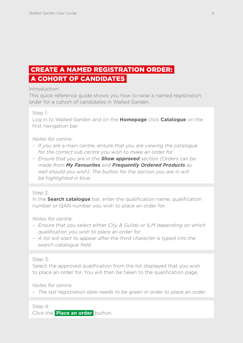# <span id="page-6-0"></span> CREATE A NAMED REGISTRATION ORDER: A COHORT OF CANDIDATES

Introduction

This quick reference guide shows you how to raise a named registration order for a cohort of candidates in Walled Garden.

Step 1:

Log in to Walled Garden and on the **Homepage** click **Catalogue** on the first navigation bar.

*Notes for centre:*

- *If you are a main centre, ensure that you are viewing the catalogue for the correct sub centre you wish to make an order for*
- *Ensure that you are in the Show approved section (Orders can be made from My Favourites and Frequently Ordered Products as well should you wish). The button for the section you are in will be highlighted in blue.*

## Step 2:

In the **Search catalogue** bar, enter the qualification name, qualification number or QAN number you wish to place an order for.

*Notes for centre:*

- *Ensure that you select either City & Guilds or ILM depending on which qualification you wish to place an order for*
- *A list will start to appear after the third character is typed into the search catalogue field.*

Step 3:

Select the approved qualification from the list displayed that you wish to place an order for. You will then be taken to the qualification page.

*Notes for centre:*

*– The last registration date needs to be green in order to place an order.*

Step 4: Click the **Place an order** button.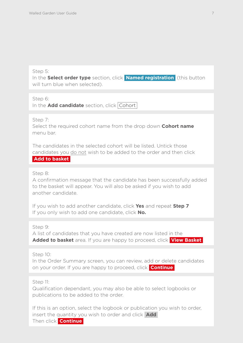#### Step 5:

In the **Select order type** section, click **Named registration** (this button will turn blue when selected).

#### Step 6:

In the **Add candidate** section, click Cohort

#### Step 7:

Select the required cohort name from the drop down **Cohort name** menu bar.

The candidates in the selected cohort will be listed. Untick those candidates you do not wish to be added to the order and then click **Add to basket**

#### Step 8:

A confirmation message that the candidate has been successfully added to the basket will appear. You will also be asked if you wish to add another candidate.

If you wish to add another candidate, click **Yes** and repeat **Step 7** If you only wish to add one candidate, click **No.**

Step 9:

A list of candidates that you have created are now listed in the **Added to basket** area. If you are happy to proceed, click **View Basket** 

Step 10:

In the Order Summary screen, you can review, add or delete candidates on your order. If you are happy to proceed, click **Continue** 

#### Step 11:

Qualification dependant, you may also be able to select logbooks or publications to be added to the order.

If this is an option, select the logbook or publication you wish to order, insert the quantity you wish to order and click **Add**  Then click **Continue**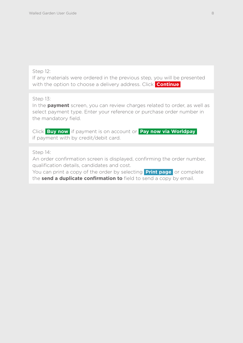#### Step 12:

If any materials were ordered in the previous step, you will be presented with the option to choose a delivery address. Click **Continue** 

Step 13:

In the **payment** screen, you can review charges related to order, as well as select payment type. Enter your reference or purchase order number in the mandatory field.

Click **Buy now** if payment is on account or **Pay now via Worldpay**  if payment with by credit/debit card.

Step 14:

An order confirmation screen is displayed, confirming the order number, qualification details, candidates and cost.

You can print a copy of the order by selecting **Print page** or complete the **send a duplicate confirmation to** field to send a copy by email.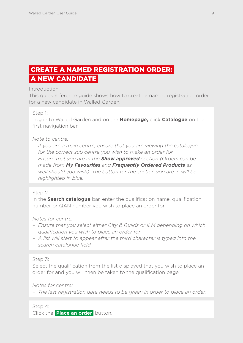# <span id="page-9-0"></span> CREATE A NAMED REGISTRATION ORDER: A NEW CANDIDATE

**Introduction** 

This quick reference guide shows how to create a named registration order for a new candidate in Walled Garden.

Step 1:

Log in to Walled Garden and on the **Homepage,** click **Catalogue** on the first navigation bar.

*Note to centre:*

- *If you are a main centre, ensure that you are viewing the catalogue for the correct sub centre you wish to make an order for*
- *Ensure that you are in the Show approved section (Orders can be made from My Favourites and Frequently Ordered Products as well should you wish). The button for the section you are in will be highlighted in blue.*

## Step 2:

In the **Search catalogue** bar, enter the qualification name, qualification number or QAN number you wish to place an order for.

*Notes for centre:*

- *Ensure that you select either City & Guilds or ILM depending on which qualification you wish to place an order for*
- *A list will start to appear after the third character is typed into the search catalogue field.*

Step 3:

Select the qualification from the list displayed that you wish to place an order for and you will then be taken to the qualification page.

*Notes for centre:*

*– The last registration date needs to be green in order to place an order.*

Step 4: Click the **Place an order** button.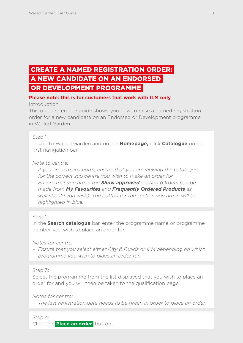# <span id="page-10-0"></span> CREATE A NAMED REGISTRATION ORDER: A NEW CANDIDATE ON AN ENDORSED OR DEVELOPMENT PROGRAMME

## **Please note: this is for customers that work with ILM only**

Introduction

This quick reference guide shows you how to raise a named registration order for a new candidate on an Endorsed or Development programme in Walled Garden.

#### Step 1:

Log in to Walled Garden and on the **Homepage,** click **Catalogue** on the first navigation bar.

*Note to centre:*

- *If you are a main centre, ensure that you are viewing the catalogue for the correct sub centre you wish to make an order for*
- *Ensure that you are in the Show approved section (Orders can be made from My Favourites and Frequently Ordered Products as well should you wish). The button for the section you are in will be highlighted in blue.*

#### Step 2:

In the **Search catalogue** bar, enter the programme name or programme number you wish to place an order for.

*Notes for centre:*

*– Ensure that you select either City & Guilds or ILM depending on which programme you wish to place an order for.*

## Step 3:

Select the programme from the list displayed that you wish to place an order for and you will then be taken to the qualification page.

*Notes for centre:*

*– The last registration date needs to be green in order to place an order.*

Step 4: Click the **Place an order** button.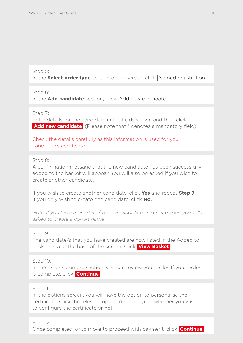#### Step 5:

In the **Select order type** section of the screen, click Named registration

Step 6: In the **Add candidate** section, click Add new candidate

#### Step 7:

Enter details for the candidate in the fields shown and then click **Add new candidate** (Please note that \* denotes a mandatory field).

Check the details carefully as this information is used for your candidate's certificate.

## Step 8:

A confirmation message that the new candidate has been successfully added to the basket will appear. You will also be asked if you wish to create another candidate.

If you wish to create another candidate, click **Yes** and repeat **Step 7** If you only wish to create one candidate, click **No.**

*Note: if you have more than five new candidates to create, then you will be asked to create a cohort name.*

#### Step 9:

The candidate/s that you have created are now listed in the Added to basket area at the base of the screen. Click **View Basket** 

Step 10:

In the order summery section, you can review your order. If your order is complete, click **Continue** 

## Step 11:

In the options screen, you will have the option to personalise the certificate. Click the relevant option depending on whether you wish to configure the certificate or not.

## Step 12:

Once completed, or to move to proceed with payment, click **Continue**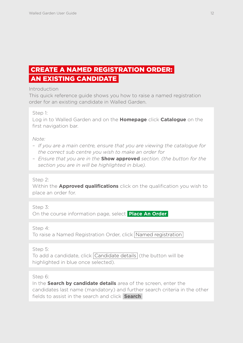# <span id="page-12-0"></span> CREATE A NAMED REGISTRATION ORDER: AN EXISTING CANDIDATE

Introduction

This quick reference guide shows you how to raise a named registration order for an existing candidate in Walled Garden.

Step 1:

Log in to Walled Garden and on the **Homepage** click **Catalogue** on the first navigation bar.

*Note:*

- *If you are a main centre, ensure that you are viewing the catalogue for the correct sub centre you wish to make an order for*
- *Ensure that you are in the* **Show approved** *section. (the button for the section you are in will be highlighted in blue).*

Step 2:

Within the **Approved qualifications** click on the qualification you wish to place an order for.

Step 3: On the course information page, select **Place An Order** 

Step 4:

To raise a Named Registration Order, click Named registration

Step 5:

To add a candidate, click Candidate details (the button will be highlighted in blue once selected).

Step 6:

In the **Search by candidate details** area of the screen, enter the candidates last name (mandatory) and further search criteria in the other fields to assist in the search and click **Search**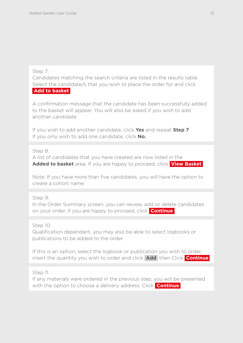## Step 7:

Candidates matching the search criteria are listed in the results table. Select the candidate/s that you wish to place the order for and click  **Add to basket** 

A confirmation message that the candidate has been successfully added to the basket will appear. You will also be asked if you wish to add another candidate.

If you wish to add another candidate, click **Yes** and repeat **Step 7** If you only wish to add one candidate, click **No.**

## Step 8:

A list of candidates that you have created are now listed in the **Added to basket** area. If you are happy to proceed, click **View Basket** 

Note: If you have more than five candidates, you will have the option to create a cohort name.

Step 9:

In the Order Summary screen, you can review, add or delete candidates on your order. If you are happy to proceed, click **Continue** 

Step 10:

Qualification dependant, you may also be able to select logbooks or publications to be added to the order.

If this is an option, select the logbook or publication you wish to order, insert the quantity you wish to order and click **Add** then Click **Continue** 

Step 11.

If any materials were ordered in the previous step, you will be presented with the option to choose a delivery address. Click **Continue**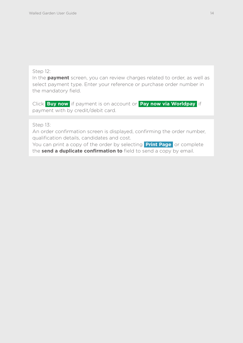#### Step 12:

In the **payment** screen, you can review charges related to order, as well as select payment type. Enter your reference or purchase order number in the mandatory field.

Click **Buy now** if payment is on account or **Pay now via Worldpay** if payment with by credit/debit card.

Step 13:

An order confirmation screen is displayed, confirming the order number, qualification details, candidates and cost.

You can print a copy of the order by selecting **Print Page** or complete the **send a duplicate confirmation to** field to send a copy by email.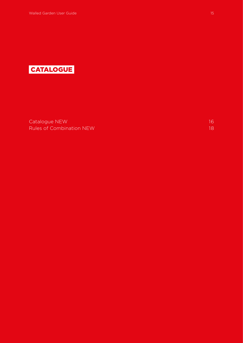<span id="page-15-0"></span>

[Catalogue NEW](#page-16-0) 16 and 200 million and 200 million and 200 million and 200 million and 200 million and 200 million **[Rules of Combination NEW](#page-18-0)** 18 and 200 million 200 million 200 million 200 million 200 million 200 million 200 million 200 million 200 million 200 million 200 million 200 million 200 million 200 million 200 million 200 mill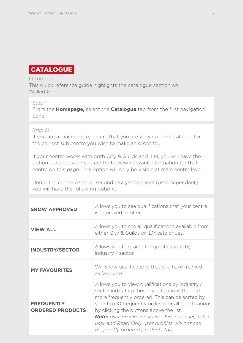## <span id="page-16-0"></span>CATALOGUE

#### Introduction

This quick reference guide highlights the catalogue section on Walled Garden.

#### Step 1:

From the **Homepage,** select the **Catalogue** tab from the first navigation panel.

#### Step 2:

If you are a main centre, ensure that you are viewing the catalogue for the correct sub centre you wish to make an order for.

If your centre works with both City & Guilds and ILM, you will have the option to select your sub centre to view relevant information for that centre on this page. This option will only be visible at main centre level.

Under the centre panel or second navigation panel (user dependant) you will have the following options;

| <b>SHOW APPROVED</b>                         | Allows you to see qualifications that your centre<br>is approved to offer.                                                                                                                                                                                                                                                                                                                                |
|----------------------------------------------|-----------------------------------------------------------------------------------------------------------------------------------------------------------------------------------------------------------------------------------------------------------------------------------------------------------------------------------------------------------------------------------------------------------|
| <b>VIEW ALL</b>                              | Allows you to see all qualifications available from<br>either City & Guilds or ILM catalogues.                                                                                                                                                                                                                                                                                                            |
| <b>INDUSTRY/SECTOR</b>                       | Allows you to search for qualifications by<br>industry / sector.                                                                                                                                                                                                                                                                                                                                          |
| <b>MY FAVOURITES</b>                         | Will show qualifications that you have marked<br>as favourite.                                                                                                                                                                                                                                                                                                                                            |
| <b>FREQUENTLY</b><br><b>ORDERED PRODUCTS</b> | Allows you to view qualifications by industry /<br>sector indicating those qualifications that are<br>more frequently ordered. This can be sorted by<br>your top 10 frequently ordered or all qualifications<br>by clicking the buttons above the list.<br><b>Note:</b> user profile sensitive - Finance user, Tutor<br>user and Read Only user profiles will not see<br>frequently ordered products tab. |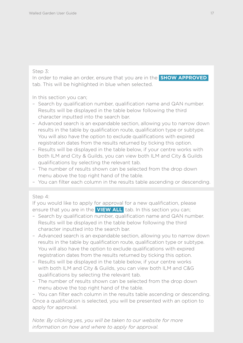## Step 3:

In order to make an order, ensure that you are in the **SHOW APPROVED**  tab. This will be highlighted in blue when selected.

In this section you can;

- Search by qualification number, qualification name and QAN number. Results will be displayed in the table below following the third character inputted into the search bar.
- Advanced search is an expandable section, allowing you to narrow down results in the table by qualification route, qualification type or subtype. You will also have the option to exclude qualifications with expired registration dates from the results returned by ticking this option.
- Results will be displayed in the table below, if your centre works with both ILM and City & Guilds, you can view both ILM and City & Guilds qualifications by selecting the relevant tab.
- The number of results shown can be selected from the drop down menu above the top right hand of the table.
- You can filter each column in the results table ascending or descending.

## Step 4:

If you would like to apply for approval for a new qualification, please ensure that you are in the **VIEW ALL** tab. In this section you can;

- Search by qualification number, qualification name and QAN number. Results will be displayed in the table below following the third character inputted into the search bar.
- Advanced search is an expandable section, allowing you to narrow down results in the table by qualification route, qualification type or subtype. You will also have the option to exclude qualifications with expired registration dates from the results returned by ticking this option.
- Results will be displayed in the table below, if your centre works with both ILM and City & Guilds, you can view both ILM and C&G qualifications by selecting the relevant tab.
- The number of results shown can be selected from the drop down menu above the top right hand of the table.

– You can filter each column in the results table ascending or descending. Once a qualification is selected, you will be presented with an option to apply for approval.

*Note: By clicking yes, you will be taken to our website for more information on how and where to apply for approval.*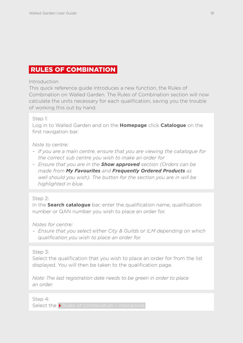## <span id="page-18-0"></span>RULES OF COMBINATION

#### **Introduction**

This quick reference guide introduces a new function, the Rules of Combination on Walled Garden. The Rules of Combination section will now calculate the units necessary for each qualification, saving you the trouble of working this out by hand.

#### Step 1:

Log in to Walled Garden and on the **Homepage** click **Catalogue** on the first navigation bar.

#### *Note to centre:*

- *If you are a main centre, ensure that you are viewing the catalogue for the correct sub centre you wish to make an order for*
- *Ensure that you are in the Show approved section (Orders can be made from My Favourites and Frequently Ordered Products as well should you wish). The button for the section you are in will be highlighted in blue.*

## Step 2:

In the **Search catalogue** bar, enter the qualification name, qualification number or QAN number you wish to place an order for.

*Notes for centre:*

*– Ensure that you select either City & Guilds or ILM depending on which qualification you wish to place an order for.*

#### Step 3:

Select the qualification that you wish to place an order for from the list displayed. You will then be taken to the qualification page.

*Note: The last registration date needs to be green in order to place an order.*

Step 4:

Select the  $\blacktriangleright$  Rules of combination - interactive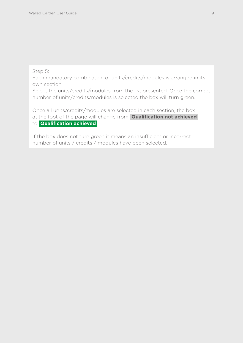Step 5:

Each mandatory combination of units/credits/modules is arranged in its own section.

Select the units/credits/modules from the list presented. Once the correct number of units/credits/modules is selected the box will turn green.

Once all units/credits/modules are selected in each section, the box at the foot of the page will change from **Qualification not achieved**  to **Qualification achieved** 

If the box does not turn green it means an insufficient or incorrect number of units / credits / modules have been selected.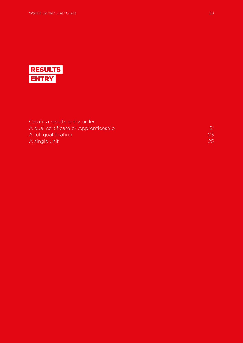<span id="page-20-0"></span>

| 23 |
|----|
| 25 |
|    |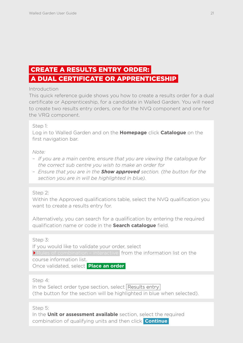# <span id="page-21-0"></span> CREATE A RESULTS ENTRY ORDER: A DUAL CERTIFICATE OR APPRENTICESHIP

## **Introduction**

This quick reference guide shows you how to create a results order for a dual certificate or Apprenticeship, for a candidate in Walled Garden. You will need to create two results entry orders, one for the NVQ component and one for the VRQ component.

#### Step 1:

Log in to Walled Garden and on the **Homepage** click **Catalogue** on the first navigation bar.

#### *Note:*

- *If you are a main centre, ensure that you are viewing the catalogue for the correct sub centre you wish to make an order for*
- *Ensure that you are in the Show approved section. (the button for the section you are in will be highlighted in blue).*

## Step 2:

Within the Approved qualifications table, select the NVQ qualification you want to create a results entry for.

Alternatively, you can search for a qualification by entering the required qualification name or code in the **Search catalogue** field.

Step 3:

If you would like to validate your order, select

Rules of combination - interactive from the information list on the course information list.

Once validated, select **Place an order** 

Step 4:

In the Select order type section, select Results entry (the button for the section will be highlighted in blue when selected).

Step 5:

In the **Unit or assessment available** section, select the required combination of qualifying units and then click **Continue**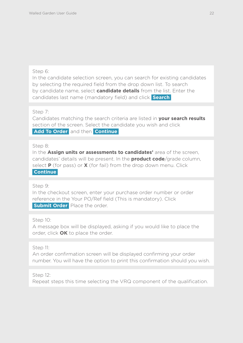## Step 6:

In the candidate selection screen, you can search for existing candidates by selecting the required field from the drop down list. To search by candidate name, select **candidate details** from the list. Enter the candidates last name (mandatory field) and click **Search** 

Step 7:

Candidates matching the search criteria are listed in **your search results** section of the screen. Select the candidate you wish and click **Add To Order** and then **Continue** 

## Step 8:

In the **Assign units or assessments to candidates'** area of the screen, candidates' details will be present. In the **product code**/grade column, select **P** (for pass) or **X** (for fail) from the drop down menu. Click  **Continue** 

Step 9:

In the checkout screen, enter your purchase order number or order reference in the Your PO/Ref field (This is mandatory). Click **Submit Order** Place the order.

Step 10:

A message box will be displayed, asking if you would like to place the order, click **OK** to place the order.

Step 11:

An order confirmation screen will be displayed confirming your order number. You will have the option to print this confirmation should you wish.

Step 12:

Repeat steps this time selecting the VRQ component of the qualification.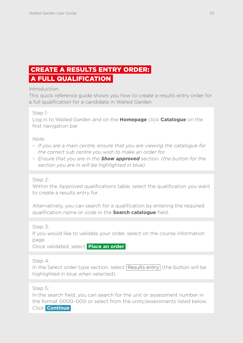# <span id="page-23-0"></span> CREATE A RESULTS ENTRY ORDER: A FULL QUALIFICATION

Introduction

This quick reference guide shows you how to create a results entry order for a full qualification for a candidate in Walled Garden

Step 1:

Log in to Walled Garden and on the **Homepage** click **Catalogue** on the first navigation bar.

*Note:*

- *If you are a main centre, ensure that you are viewing the catalogue for the correct sub centre you wish to make an order for.*
- *Ensure that you are in the Show approved section. (the button for the section you are in will be highlighted in blue).*

Step 2:

Within the Approved qualifications table, select the qualification you want to create a results entry for.

Alternatively, you can search for a qualification by entering the required qualification name or code in the **Search catalogue** field.

Step 3:

If you would like to validate your order, select on the course information page.

Once validated, select **Place an order** 

Step 4:

In the Select order type section, select Results entry (the button will be highlighted in blue when selected).

Step 5:

In the search field, you can search for the unit or assessment number in the format 0000–000 or select from the units/assessments listed below. Click **Continue**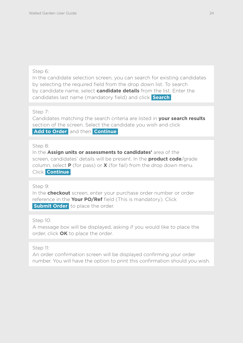## Step 6:

In the candidate selection screen, you can search for existing candidates by selecting the required field from the drop down list. To search by candidate name, select **candidate details** from the list. Enter the candidates last name (mandatory field) and click **Search** 

Step 7:

Candidates matching the search criteria are listed in **your search results** section of the screen. Select the candidate you wish and click  **Add to Order** and then **Continue** 

## Step 8:

In the **Assign units or assessments to candidates'** area of the screen, candidates' details will be present. In the **product code**/grade column, select **P** (for pass) or **X** (for fail) from the drop down menu. Click **Continue** 

## Step 9:

In the **checkout** screen, enter your purchase order number or order reference in the **Your PO/Ref** field (This is mandatory). Click **Submit Order** to place the order.

## Step 10:

A message box will be displayed, asking if you would like to place the order, click **OK** to place the order.

## Step 11:

An order confirmation screen will be displayed confirming your order number. You will have the option to print this confirmation should you wish.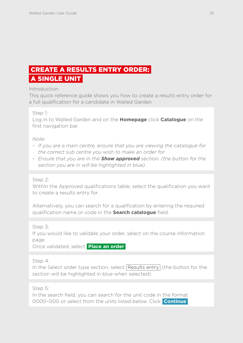# <span id="page-25-0"></span> CREATE A RESULTS ENTRY ORDER: A SINGLE UNIT

Introduction

This quick reference guide shows you how to create a results entry order for a full qualification for a candidate in Walled Garden

Step 1:

Log in to Walled Garden and on the **Homepage** click **Catalogue** on the first navigation bar.

*Note:*

- *If you are a main centre, ensure that you are viewing the catalogue for the correct sub centre you wish to make an order for*
- *Ensure that you are in the Show approved section. (the button for the section you are in will be highlighted in blue).*

Step 2:

Within the Approved qualifications table, select the qualification you want to create a results entry for.

Alternatively, you can search for a qualification by entering the required qualification name or code in the **Search catalogue** field.

Step 3:

If you would like to validate your order, select on the course information page.

Once validated, select **Place an order** 

Step 4:

In the Select order type section, select Results entry (the button for the section will be highlighted in blue when selected).

Step 5:

In the search field, you can search for the unit code in the format 0000–000 or select from the units listed below. Click **Continue**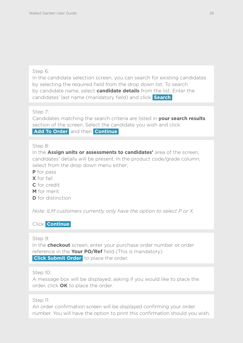## Step 6:

In the candidate selection screen, you can search for existing candidates by selecting the required field from the drop down list. To search by candidate name, select **candidate details** from the list. Enter the candidates' last name (mandatory field) and click **Search** 

Step 7:

Candidates matching the search criteria are listed in **your search results** section of the screen. Select the candidate you wish and click  **Add To Order** and then **Continue** 

Step 8:

In the **Assign units or assessments to candidates'** area of the screen, candidates' details will be present. In the product code/grade column, select from the drop down menu either;

- **P** for pass
- **X** for fail
- **C** for credit
- **M** for merit
- **D** for distinction

*Note: ILM customers currently only have the option to select P or X.* 

Click **Continue** 

## Step 9:

In the **checkout** screen, enter your purchase order number or order reference in the **Your PO/Ref** field (This is mandatory). **Click Submit Order** to place the order.

## Step 10:

A message box will be displayed, asking if you would like to place the order, click **OK** to place the order.

Step 11:

An order confirmation screen will be displayed confirming your order number. You will have the option to print this confirmation should you wish.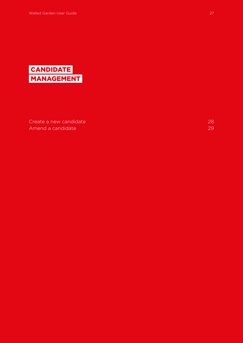<span id="page-27-0"></span>

[Create a new candidate](#page-28-0) 28 and 28 and 28 and 28 and 28 and 28 and 28 and 28 and 28 and 28 and 28 and 28 and 28  $\pm 28$ [Amend a candidate](#page-29-0) 29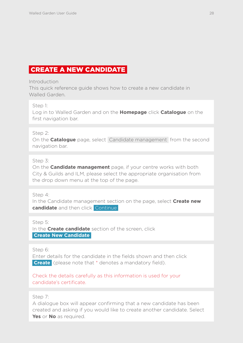## <span id="page-28-0"></span>CREATE A NEW CANDIDATE

**Introduction** 

This quick reference guide shows how to create a new candidate in Walled Garden.

Step 1:

Log in to Walled Garden and on the **Homepage** click **Catalogue** on the first navigation bar.

Step 2:

On the **Catalogue** page, select Candidate management from the second navigation bar.

Step 3:

On the **Candidate management** page, if your centre works with both City & Guilds and ILM, please select the appropriate organisation from the drop down menu at the top of the page.

Step 4:

In the Candidate management section on the page, select **Create new candidate** and then click Continue

Step 5:

In the **Create candidate** section of the screen, click  **Create New Candidate** 

Step 6:

Enter details for the candidate in the fields shown and then click  **Create** (please note that \* denotes a mandatory field).

Check the details carefully as this information is used for your candidate's certificate.

Step 7:

A dialogue box will appear confirming that a new candidate has been created and asking if you would like to create another candidate. Select **Yes** or **No** as required.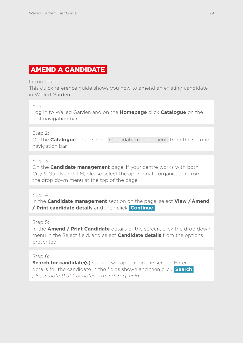## <span id="page-29-0"></span>AMEND A CANDIDATE

#### **Introduction**

This quick reference guide shows you how to amend an existing candidate in Walled Garden.

## Step 1:

Log in to Walled Garden and on the **Homepage** click **Catalogue** on the first navigation bar.

## Step 2:

On the **Catalogue** page, select Candidate management from the second navigation bar.

## Step 3:

On the **Candidate management** page, if your centre works with both City & Guilds and ILM, please select the appropriate organisation from the drop down menu at the top of the page.

## Step 4:

In the **Candidate management** section on the page, select **View / Amend / Print candidate details** and then click **Continue**

## Step 5:

In the **Amend / Print Candidate** details of the screen, click the drop down menu in the Select field, and select **Candidate details** from the options presented.

## Step 6:

**Search for candidate(s)** section will appear on the screen. Enter details for the candidate in the fields shown and then click **Search**  *please note that* \* *denotes a mandatory field*.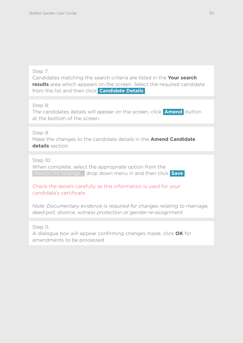## Step 7:

Candidates matching the search criteria are listed in the **Your search results** area which appears on the screen. Select the required candidate from the list and then click **Candidate Details** 

## Step 8:

The candidates details will appear on the screen, click **Amend** button at the bottom of the screen.

## Step 9:

Make the changes to the candidate details in the **Amend Candidate details** section.

## Step 10:

When complete, select the appropriate option from the Reason for Change \* drop down menu in and then click **Save** 

Check the details carefully as this information is used for your candidate's certificate.

*Note: Documentary evidence is required for changes relating to marriage, deed poll, divorce, witness protection or gender re-assignment.*

## Step 11:

A dialogue box will appear confirming changes made, click **OK** for amendments to be processed.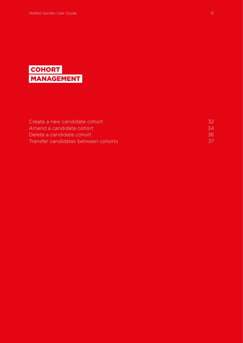<span id="page-31-0"></span>

| Create a new candidate cohort       |     |
|-------------------------------------|-----|
| Amend a candidate cohort            | 34  |
| Delete a candidate cohort           | .36 |
| Transfer candidates between cohorts |     |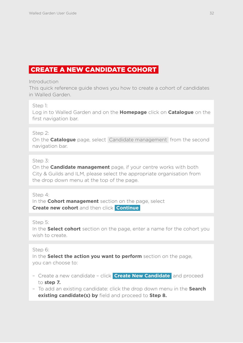## <span id="page-32-0"></span>CREATE A NEW CANDIDATE COHORT

#### **Introduction**

This quick reference guide shows you how to create a cohort of candidates in Walled Garden.

## Step 1:

Log in to Walled Garden and on the **Homepage** click on **Catalogue** on the first navigation bar.

## Step 2:

On the **Catalogue** page, select Candidate management from the second navigation bar.

## Step 3:

On the **Candidate management** page, if your centre works with both City & Guilds and ILM, please select the appropriate organisation from the drop down menu at the top of the page.

## Step 4:

In the **Cohort management** section on the page, select **Create new cohort** and then click **Continue** 

## Step 5:

In the **Select cohort** section on the page, enter a name for the cohort you wish to create.

## Step 6:

In the **Select the action you want to perform** section on the page, you can choose to:

- Create a new candidate click **Create New Candidate** and proceed to **step 7.**
- To add an existing candidate: click the drop down menu in the **Search existing candidate(s) by** field and proceed to **Step 8.**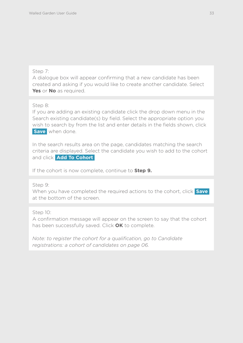## Step 7:

A dialogue box will appear confirming that a new candidate has been created and asking if you would like to create another candidate. Select **Yes** or **No** as required.

Step 8:

If you are adding an existing candidate click the drop down menu in the Search existing candidate(s) by field. Select the appropriate option you wish to search by from the list and enter details in the fields shown, click **Save** when done.

In the search results area on the page, candidates matching the search criteria are displayed. Select the candidate you wish to add to the cohort and click **Add To Cohort** 

If the cohort is now complete, continue to **Step 9.**

Step 9:

When you have completed the required actions to the cohort, click **Save**  at the bottom of the screen.

Step 10:

A confirmation message will appear on the screen to say that the cohort has been successfully saved. Click **OK** to complete.

*Note: to register the cohort for a qualification, go to Candidate registrations: a cohort of candidates on page 06.*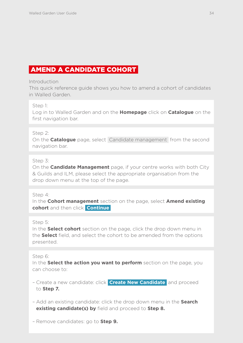## <span id="page-34-0"></span>AMEND A CANDIDATE COHORT

#### **Introduction**

This quick reference guide shows you how to amend a cohort of candidates in Walled Garden.

#### Step 1:

Log in to Walled Garden and on the **Homepage** click on **Catalogue** on the first navigation bar.

#### Step 2:

On the **Catalogue** page, select Candidate management from the second navigation bar.

#### Step 3:

On the **Candidate Management** page, if your centre works with both City & Guilds and ILM, please select the appropriate organisation from the drop down menu at the top of the page.

#### Step 4:

In the **Cohort management** section on the page, select **Amend existing cohort** and then click **Continue** 

#### Step 5:

In the **Select cohort** section on the page, click the drop down menu in the **Select** field, and select the cohort to be amended from the options presented.

## Step 6:

In the **Select the action you want to perform** section on the page, you can choose to:

- Create a new candidate: click **Create New Candidate** and proceed to **Step 7.**
- Add an existing candidate: click the drop down menu in the **Search existing candidate(s) by** field and proceed to **Step 8.**
- Remove candidates: go to **Step 9.**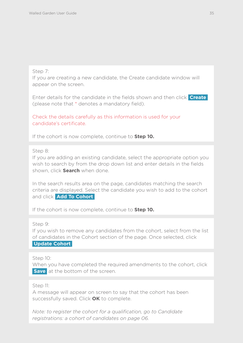#### Step 7:

If you are creating a new candidate, the Create candidate window will appear on the screen.

Enter details for the candidate in the fields shown and then click **Create**  (please note that \* denotes a mandatory field).

Check the details carefully as this information is used for your candidate's certificate.

If the cohort is now complete, continue to **Step 10.**

#### Step 8:

If you are adding an existing candidate, select the appropriate option you wish to search by from the drop down list and enter details in the fields shown, click **Search** when done.

In the search results area on the page, candidates matching the search criteria are displayed. Select the candidate you wish to add to the cohort and click **Add To Cohort** 

If the cohort is now complete, continue to **Step 10.**

Step 9:

If you wish to remove any candidates from the cohort, select from the list of candidates in the Cohort section of the page. Once selected, click  **Update Cohort** 

Step 10:

When you have completed the required amendments to the cohort, click **Save** at the bottom of the screen.

## Step 11:

A message will appear on screen to say that the cohort has been successfully saved. Click **OK** to complete.

*Note: to register the cohort for a qualification, go to Candidate registrations: a cohort of candidates on page 06.*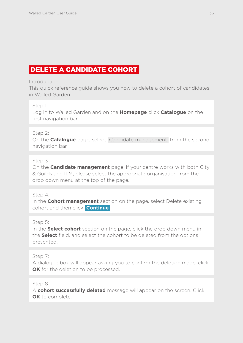# DELETE A CANDIDATE COHORT

#### **Introduction**

This quick reference guide shows you how to delete a cohort of candidates in Walled Garden.

#### Step 1:

Log in to Walled Garden and on the **Homepage** click **Catalogue** on the first navigation bar.

#### Step 2:

On the **Catalogue** page, select Candidate management from the second navigation bar.

## Step 3:

On the **Candidate management** page, if your centre works with both City & Guilds and ILM, please select the appropriate organisation from the drop down menu at the top of the page.

#### Step 4:

In the **Cohort management** section on the page, select Delete existing cohort and then click **Continue** 

#### Step 5:

In the **Select cohort** section on the page, click the drop down menu in the **Select** field, and select the cohort to be deleted from the options presented.

## Step 7:

A dialogue box will appear asking you to confirm the deletion made, click **OK** for the deletion to be processed.

#### Step 8:

A **cohort successfully deleted** message will appear on the screen. Click **OK** to complete.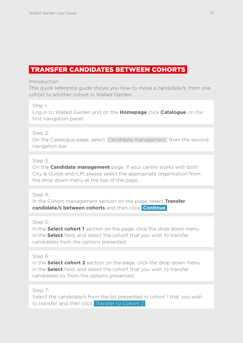## TRANSFER CANDIDATES BETWEEN COHORTS

#### **Introduction**

This quick reference guide shows you how to move a candidate/s, from one cohort to another cohort in Walled Garden.

#### Step 1:

Log in to Walled Garden and on the **Homepage** click **Catalogue** on the first navigation panel.

#### Step 2:

On the Catalogue page, select Candidate management from the second navigation bar.

#### Step 3:

On the **Candidate management** page, if your centre works with both City & Guilds and ILM, please select the appropriate organisation from the drop down menu at the top of the page.

#### Step 4:

In the Cohort management section on the page, select **Transfer candidate/s between cohorts** and then click **Continue** 

#### Step 5:

In the **Select cohort 1** section on the page, click the drop down menu in the **Select** field, and select the cohort that you wish to transfer candidates from the options presented.

#### Step 6:

In the **Select cohort 2** section on the page, click the drop down menu in the **Select** field, and select the cohort that you wish to transfer candidates to, from the options presented.

#### Step 7:

Select the candidate/s from the list presented in cohort 1 that you wish to transfer and then click Transfer to Cohort 2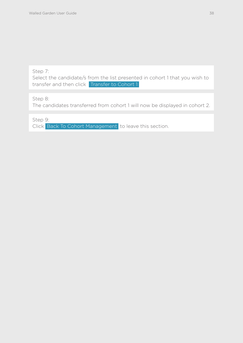Step 7:

Select the candidate/s from the list presented in cohort 1 that you wish to transfer and then click Transfer to Cohort 1

Step 8:

The candidates transferred from cohort 1 will now be displayed in cohort 2.

Step 9:

Click Back To Cohort Management to leave this section.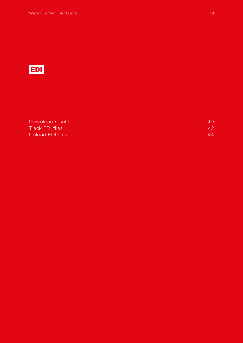

[Download results](#page-40-0) 40 **[Track EDI files](#page-42-0)** 42 [Upload EDI files](#page-44-0) 44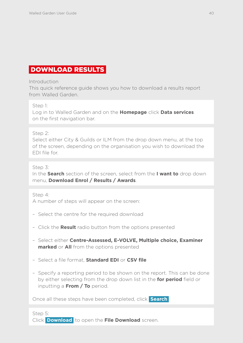## <span id="page-40-0"></span>DOWNLOAD RESULTS

Introduction

This quick reference guide shows you how to download a results report from Walled Garden.

Step 1:

Log in to Walled Garden and on the **Homepage** click **Data services** on the first navigation bar.

Step 2:

Select either City & Guilds or ILM from the drop down menu, at the top of the screen, depending on the organisation you wish to download the EDI file for.

Step 3:

In the **Search** section of the screen, select from the **I want to** drop down menu, **Download Enrol / Results / Awards**.

Step 4:

A number of steps will appear on the screen:

- Select the centre for the required download
- Click the **Result** radio button from the options presented
- Select either **Centre-Assessed, E-VOLVE, Multiple choice, Examiner marked** or **All** from the options presented
- Select a file format, **Standard EDI** or **CSV file**
- Specify a reporting period to be shown on the report. This can be done by either selecting from the drop down list in the **for period** field or inputting a **From / To** period.

Once all these steps have been completed, click **Search** 

Step 5: Click **Download** to open the **File Download** screen.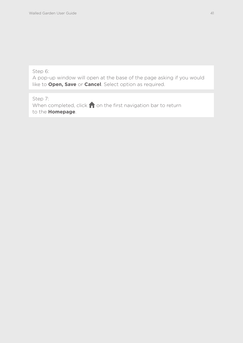Step 6:

A pop-up window will open at the base of the page asking if you would like to **Open, Save** or **Cancel**. Select option as required.

Step 7: When completed, click  $\bigcap$  on the first navigation bar to return to the **Homepage**.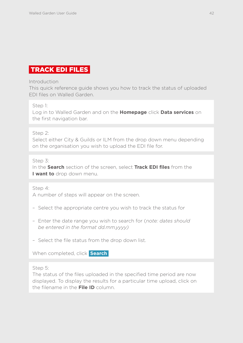# <span id="page-42-0"></span>TRACK EDI FILES

#### **Introduction**

This quick reference guide shows you how to track the status of uploaded EDI files on Walled Garden.

#### Step 1:

Log in to Walled Garden and on the **Homepage** click **Data services** on the first navigation bar.

#### Step 2:

Select either City & Guilds or ILM from the drop down menu depending on the organisation you wish to upload the EDI file for.

#### Step 3:

In the **Search** section of the screen, select **Track EDI files** from the **I want to** drop down menu.

Step 4:

A number of steps will appear on the screen.

- Select the appropriate centre you wish to track the status for
- Enter the date range you wish to search for (*note: dates should be entered in the format dd.mm.yyyy)*
- Select the file status from the drop down list.

When completed, click **Search** 

#### Step 5:

The status of the files uploaded in the specified time period are now displayed. To display the results for a particular time upload, click on the filename in the **File ID** column.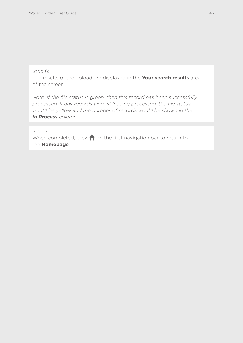#### Step 6:

The results of the upload are displayed in the **Your search results** area of the screen.

*Note: if the file status is green, then this record has been successfully processed. If any records were still being processed, the file status would be yellow and the number of records would be shown in the In Process column.*

Step 7:

When completed, click  $\bigcap$  on the first navigation bar to return to the **Homepage***.*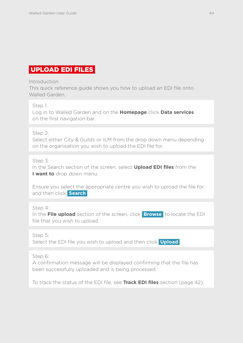## <span id="page-44-0"></span>UPLOAD EDI FILES

#### **Introduction**

This quick reference guide shows you how to upload an EDI file onto Walled Garden.

#### Step 1:

Log in to Walled Garden and on the **Homepage** click **Data services** on the first navigation bar.

#### Step 2:

Select either City & Guilds or ILM from the drop down menu depending on the organisation you wish to upload the EDI file for.

## Step 3:

In the Search section of the screen, select **Upload EDI files** from the **I want to** drop down menu.

Ensure you select the appropriate centre you wish to upload the file for and then click **Search** 

## Step 4:

In the **File upload** section of the screen, click **Browse** to locate the EDI file that you wish to upload.

## Step 5:

Select the EDI file you wish to upload and then click **Upload** 

## Step 6:

A confirmation message will be displayed confirming that the file has been successfully uploaded and is being processed.

To track the status of the EDI file, see **Track EDI files** section (page 42).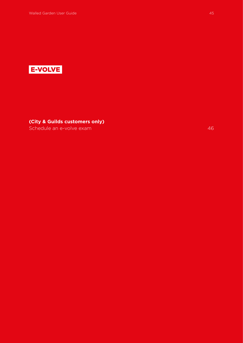

**(City & Guilds customers only)**

[Schedule an e-volve exam](#page-46-0) 46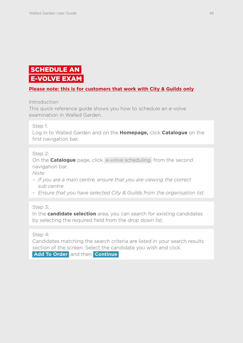# <span id="page-46-0"></span>**SCHEDULE AN** E-VOLVE EXAM

## **Please note: this is for customers that work with City & Guilds only**

Introduction

This quick reference guide shows you how to schedule an e-volve examination in Walled Garden.

#### Step 1:

Log in to Walled Garden and on the **Homepage,** click **Catalogue** on the first navigation bar.

#### Step 2:

On the **Catalogue** page, click e-volve scheduling from the second navigation bar.

*Note:*

- *If you are a main centre, ensure that you are viewing the correct sub centre*
- *Ensure that you have selected City & Guilds from the organisation list.*

Step 3:

In the **candidate selection** area, you can search for existing candidates by selecting the required field from the drop down list.

Step 4:

Candidates matching the search criteria are listed in your search results section of the screen. Select the candidate you wish and click  **Add To Order** and then **Continue**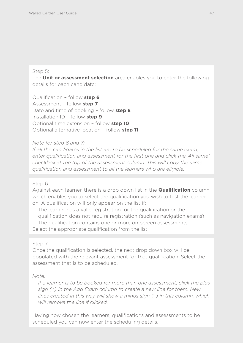#### Step 5:

The **Unit or assessment selection** area enables you to enter the following details for each candidate:

Qualification – follow **step 6** Assessment – follow **step 7** Date and time of booking – follow **step 8** Installation ID – follow **step 9** Optional time extension – follow **step 10** Optional alternative location – follow **step 11**

#### *Note for step 6 and 7:*

*If all the candidates in the list are to be scheduled for the same exam, enter qualification and assessment for the first one and click the 'All same' checkbox at the top of the assessment column. This will copy the same qualification and assessment to all the learners who are eligible.* 

#### Step 6:

Against each learner, there is a drop down list in the **Qualification** column which enables you to select the qualification you wish to test the learner on. A qualification will only appear on the list if:

– The learner has a valid registration for the qualification or the qualification does not require registration (such as navigation exams)

– The qualification contains one or more on-screen assessments Select the appropriate qualification from the list.

#### Step 7:

Once the qualification is selected, the next drop down box will be populated with the relevant assessment for that qualification. Select the assessment that is to be scheduled.

#### *Note:*

*– If a learner is to be booked for more than one assessment, click the plus sign (+) in the Add Exam column to create a new line for them. New lines created in this way will show a minus sign (–) in this column, which will remove the line if clicked.*

Having now chosen the learners, qualifications and assessments to be scheduled you can now enter the scheduling details.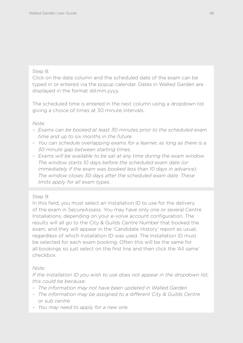## Step 8:

Click on the date column and the scheduled date of the exam can be typed in or entered via the popup calendar. Dates in Walled Garden are displayed in the format dd.mm.yyyy.

The scheduled time is entered in the next column using a dropdown list giving a choice of times at 30 minute intervals.

#### *Note:*

- *Exams can be booked at least 30 minutes prior to the scheduled exam time and up to six months in the future.*
- *You can schedule overlapping exams for a learner, as long as there is a 30 minute gap between starting times.*
- *Exams will be available to be sat at any time during the exam window. The window starts 10 days before the scheduled exam date (or immediately if the exam was booked less than 10 days in advance). The window closes 30 days after the scheduled exam date. These limits apply for all exam types.*

## Step 9:

In this field, you must select an Installation ID to use for the delivery of the exam in SecureAssess. You may have only one or several Centre Installations, depending on your e-volve account configuration. The results will all go to the City & Guilds Centre Number that booked the exam, and they will appear in the 'Candidate History' report as usual, regardless of which Installation ID was used. The Installation ID must be selected for each exam booking. Often this will be the same for all bookings so just select on the first line and then click the 'All same' checkbox.

## *Note:*

*If the Installation ID you wish to use does not appear in the dropdown list, this could be because:*

- *The information may not have been updated in Walled Garden*
- *The information may be assigned to a different City & Guilds Centre or sub centre*
- *You may need to apply for a new one.*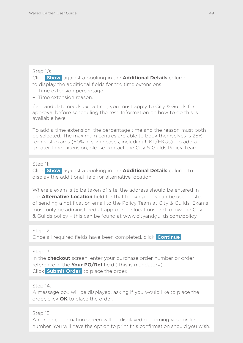#### Step 10:

Click **Show** against a booking in the **Additional Details** column to display the additional fields for the time extensions:

- Time extension percentage
- Time extension reason.

If a candidate needs extra time, you must apply to City & Guilds for approval before scheduling the test. Information on how to do this is available [here](http://www.cityandguilds.com/delivering-our-qualifications/centre-development/centre-document-library/policies-and-procedures/access-arrangements-reasonable-adjustments)

To add a time extension, the percentage time and the reason must both be selected. The maximum centres are able to book themselves is 25% for most exams (50% in some cases, including UKT/EKUs). To add a greater time extension, please contact the [City & Guilds Policy Team.](mailto:policy@cityandguilds.com) 

#### Step 11:

Click **Show** against a booking in the **Additional Details** column to display the additional field for alternative location.

Where a exam is to be taken offsite, the address should be entered in the **Alternative Location** field for that booking. This can be used instead of sending a notification email to the Policy Team at City & Guilds. Exams must only be administered at appropriate locations and follow the City & Guilds policy – this can be found at www.cityandguilds.com/policy.

Step 12: Once all required fields have been completed, click **Continue** 

Step 13:

In the **checkout** screen, enter your purchase order number or order reference in the **Your PO/Ref** field (This is mandatory). Click **Submit Order** to place the order.

Step 14:

A message box will be displayed, asking if you would like to place the order, click **OK** to place the order.

Step 15:

An order confirmation screen will be displayed confirming your order number. You will have the option to print this confirmation should you wish.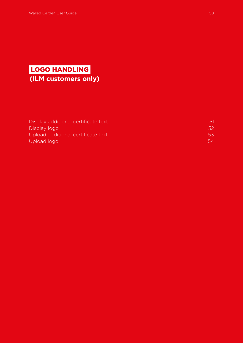# LOGO HANDLING  **(ILM customers only)**

| Display additional certificate text |               |
|-------------------------------------|---------------|
| Display logo                        | .52.          |
| Upload additional certificate text  | $5.5^{\circ}$ |
| Upload logo                         | 54            |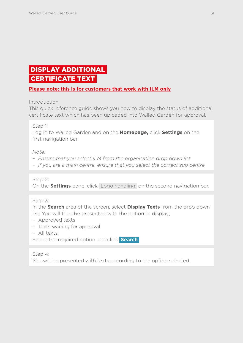# <span id="page-51-0"></span> DISPLAY ADDITIONAL CERTIFICATE TEXT

## **Please note: this is for customers that work with ILM only**

Introduction

This quick reference guide shows you how to display the status of additional certificate text which has been uploaded into Walled Garden for approval.

Step 1:

Log in to Walled Garden and on the **Homepage,** click **Settings** on the first navigation bar.

*Note:* 

- *Ensure that you select ILM from the organisation drop down list*
- *If you are a main centre, ensure that you select the correct sub centre.*

Step 2:

On the **Settings** page, click Logo handling on the second navigation bar.

Step 3:

In the **Search** area of the screen, select **Display Texts** from the drop down list. You will then be presented with the option to display;

- *–* Approved texts
- *–* Texts waiting for approval
- *–* All texts.

Select the required option and click **Search** 

Step 4:

You will be presented with texts according to the option selected.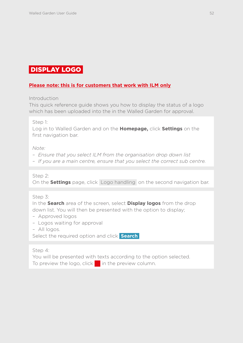## <span id="page-52-0"></span>DISPLAY LOGO

## **Please note: this is for customers that work with ILM only**

Introduction

This quick reference guide shows you how to display the status of a logo which has been uploaded into the in the Walled Garden for approval.

Step 1:

Log in to Walled Garden and on the **Homepage,** click **Settings** on the first navigation bar.

*Note:* 

- *Ensure that you select ILM from the organisation drop down list*
- *If you are a main centre, ensure that you select the correct sub centre.*

Step 2:

On the **Settings** page, click Logo handling on the second navigation bar.

Step 3:

In the **Search** area of the screen, select **Display logos** from the drop down list. You will then be presented with the option to display;

- *–* Approved logos
- *–* Logos waiting for approval
- *–* All logos.

Select the required option and click **Search** 

Step 4:

You will be presented with texts according to the option selected. To preview the logo, click in the preview column.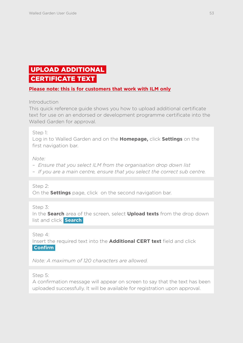# <span id="page-53-0"></span> UPLOAD ADDITIONAL CERTIFICATE TEXT

## **Please note: this is for customers that work with ILM only**

Introduction

This quick reference guide shows you how to upload additional certificate text for use on an endorsed or development programme certificate into the Walled Garden for approval.

#### Step 1:

Log in to Walled Garden and on the **Homepage,** click **Settings** on the first navigation bar.

*Note:* 

- *Ensure that you select ILM from the organisation drop down list*
- *If you are a main centre, ensure that you select the correct sub centre.*

Step 2: On the **Settings** page, click on the second navigation bar.

Step 3:

In the **Search** area of the screen, select **Upload texts** from the drop down list and click **Search** 

Step 4:

Insert the required text into the **Additional CERT text** field and click  **Confirm** 

*Note: A maximum of 120 characters are allowed.*

Step 5:

A confirmation message will appear on screen to say that the text has been uploaded successfully. It will be available for registration upon approval.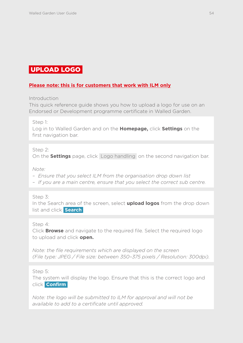## <span id="page-54-0"></span>UPLOAD LOGO

## **Please note: this is for customers that work with ILM only**

Introduction

This quick reference guide shows you how to upload a logo for use on an Endorsed or Development programme certificate in Walled Garden.

Step 1:

Log in to Walled Garden and on the **Homepage,** click **Settings** on the first navigation bar.

Step 2:

On the **Settings** page, click Logo handling on the second navigation bar.

*Note:* 

- *– Ensure that you select ILM from the organisation drop down list*
- *– If you are a main centre, ensure that you select the correct sub centre.*

Step 3:

In the Search area of the screen, select **upload logos** from the drop down list and click **Search** 

Step 4:

Click **Browse** and navigate to the required file. Select the required logo to upload and click **open.**

*Note: the file requirements which are displayed on the screen (File type: JPEG / File size: between 350–375 pixels / Resolution: 300dpi).*

Step 5:

The system will display the logo. Ensure that this is the correct logo and click **Confirm** 

*Note: the logo will be submitted to ILM for approval and will not be available to add to a certificate until approved.*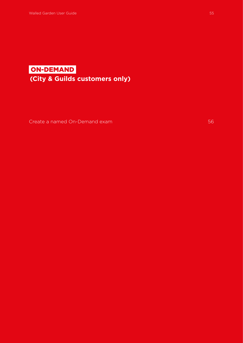# ON-DEMAND  **(City & Guilds customers only)**

[Create a named On-Demand exam](#page-56-0) 56 and 56 and 56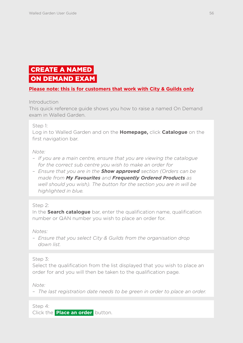# <span id="page-56-0"></span> CREATE A NAMED ON DEMAND EXAM

## **Please note: this is for customers that work with City & Guilds only**

Introduction

This quick reference guide shows you how to raise a named On Demand exam in Walled Garden.

#### Step 1:

Log in to Walled Garden and on the **Homepage,** click **Catalogue** on the first navigation bar.

#### *Note:*

- *If you are a main centre, ensure that you are viewing the catalogue for the correct sub centre you wish to make an order for*
- *Ensure that you are in the Show approved section (Orders can be made from My Favourites and Frequently Ordered Products as well should you wish). The button for the section you are in will be highlighted in blue.*

#### Step 2:

In the **Search catalogue** bar, enter the qualification name, qualification number or QAN number you wish to place an order for.

*Notes:*

*– Ensure that you select City & Guilds from the organisation drop down list.*

Step 3:

Select the qualification from the list displayed that you wish to place an order for and you will then be taken to the qualification page.

*Note:*

*– The last registration date needs to be green in order to place an order.*

Step 4:

Click the **Place an order** button.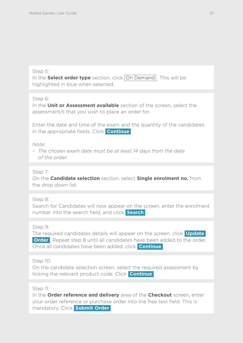#### Step 5:

In the **Select order type** section, click **On Demand** This will be highlighted in blue when selected.

Step 6:

In the **Unit or Assessment available** section of the screen, select the assessment/s that you wish to place an order for.

Enter the date and time of the exam and the quantity of the candidates in the appropriate fields. Click **Continue** 

*Note:* 

*– The chosen exam date must be at least 14 days from the date of the order.*

#### Step 7:

On the **Candidate selection** section, select **Single enrolment no.** from the drop down list.

Step 8:

Search for Candidates will now appear on the screen, enter the enrolment number into the search field, and click **Search** 

Step 9:

The required candidates details will appear on the screen, click **Update Order** . Repeat step 8 until all candidates have been added to the order. Once all candidates have been added, click **Continue** 

Step 10:

On the candidate selection screen, select the required assessment by ticking the relevant product code. Click **Continue** 

Step 11:

In the **Order reference and delivery** area of the **Checkout** screen, enter your order reference or purchase order into the free text field. This is mandatory. Click **Submit Order**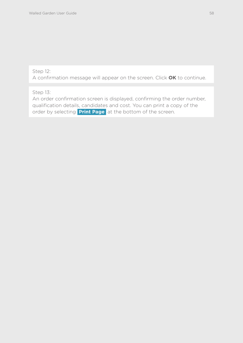## Step 12:

A confirmation message will appear on the screen. Click **OK** to continue.

## Step 13:

An order confirmation screen is displayed, confirming the order number, qualification details, candidates and cost. You can print a copy of the order by selecting **Print Page** at the bottom of the screen.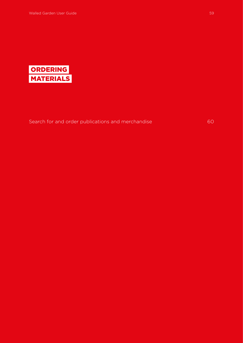

[Search for and order publications and merchandise](#page-60-0) 60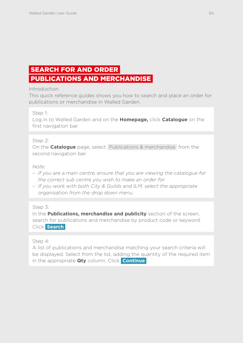# <span id="page-60-0"></span> SEARCH FOR AND ORDER PUBLICATIONS AND MERCHANDISE

#### Introduction

This quick reference guides shows you how to search and place an order for publications or merchandise in Walled Garden.

Step 1:

Log in to Walled Garden and on the **Homepage,** click **Catalogue** on the first navigation bar.

## Step 2:

On the **Catalogue** page, select Publications & merchandise from the second navigation bar.

#### *Note:*

- *If you are a main centre, ensure that you are viewing the catalogue for the correct sub centre you wish to make an order for*
- *If you work with both City & Guilds and ILM, select the appropriate organisation from the drop down menu.*

#### Step 3:

In the **Publications, merchandise and publicity** section of the screen, search for publications and merchandise by product code or keyword. Click **Search** 

#### Step 4:

A list of publications and merchandise matching your search criteria will be displayed. Select from the list, adding the quantity of the required item in the appropriate **Qty** column. Click **Continue**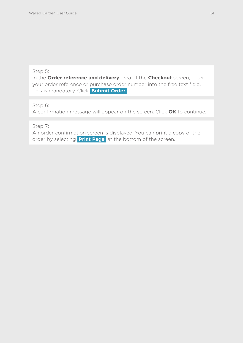#### Step 5:

In the **Order reference and delivery** area of the **Checkout** screen, enter your order reference or purchase order number into the free text field. This is mandatory. Click **Submit Order** 

Step 6:

A confirmation message will appear on the screen. Click **OK** to continue.

Step 7:

An order confirmation screen is displayed. You can print a copy of the order by selecting **Print Page** at the bottom of the screen.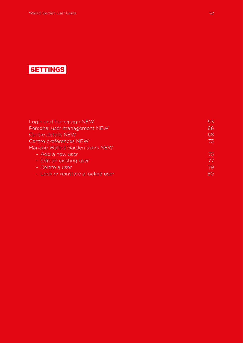# **SETTINGS**

| Login and homepage NEW            | 63 |
|-----------------------------------|----|
| Personal user management NEW      | 66 |
| Centre details NEW                | 68 |
| Centre preferences NEW            | 73 |
| Manage Walled Garden users NEW    |    |
| - Add a new user                  | 75 |
| - Edit an existing user           | 77 |
| - Delete a user                   | 79 |
| - Lock or reinstate a locked user | 80 |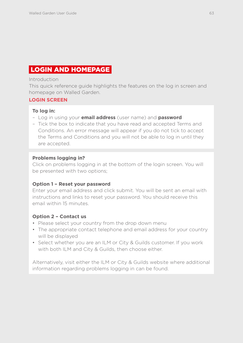# <span id="page-63-0"></span>LOGIN AND HOMEPAGE

#### Introduction

This quick reference guide highlights the features on the log in screen and homepage on Walled Garden.

## **LOGIN SCREEN**

## **To log in:**

- *–* Log in using your **email address** (user name) and **password**
- *–* Tick the box to indicate that you have read and accepted Terms and Conditions. An error message will appear if you do not tick to accept the Terms and Conditions and you will not be able to log in until they are accepted.

#### **Problems logging in?**

Click on problems logging in at the bottom of the login screen. You will be presented with two options;

#### **Option 1 – Reset your password**

Enter your email address and click submit. You will be sent an email with instructions and links to reset your password. You should receive this email within 15 minutes.

#### **Option 2 – Contact us**

- Please select your country from the drop down menu
- The appropriate contact telephone and email address for your country will be displayed
- Select whether you are an ILM or City & Guilds customer. If you work with both ILM and City & Guilds, then choose either.

Alternatively, visit either the ILM or City & Guilds website where additional information regarding problems logging in can be found.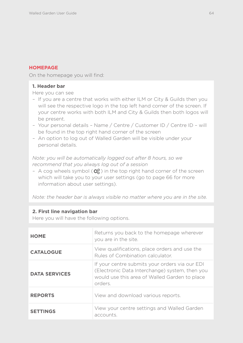## **HOMEPAGE**

On the homepage you will find:

## **1. Header bar**

Here you can see

- *–* If you are a centre that works with either ILM or City & Guilds then you will see the respective logo in the top left hand corner of the screen. If your centre works with both ILM and City & Guilds then both logos will be present.
- *–* Your personal details Name / Centre / Customer ID / Centre ID will be found in the top right hand corner of the screen
- *–* An option to log out of Walled Garden will be visible under your personal details.

*Note: you will be automatically logged out after 8 hours, so we recommend that you always log out of a session*

*–* A cog wheels symbol ( $\mathbb{Q}_0^9$ ) in the top right hand corner of the screen which will take you to your user settings (go to page 66 for more information about user settings).

*Note: the header bar is always visible no matter where you are in the site.*

#### **2. First line navigation bar**

Here you will have the following options.

| <b>HOME</b>          | Returns you back to the homepage wherever<br>you are in the site.                                                                                            |
|----------------------|--------------------------------------------------------------------------------------------------------------------------------------------------------------|
| <b>CATALOGUE</b>     | View qualifications, place orders and use the<br>Rules of Combination calculator.                                                                            |
| <b>DATA SERVICES</b> | If your centre submits your orders via our EDI<br>(Electronic Data Interchange) system, then you<br>would use this area of Walled Garden to place<br>orders. |
| <b>REPORTS</b>       | View and download various reports.                                                                                                                           |
| <b>SETTINGS</b>      | View your centre settings and Walled Garden<br>accounts.                                                                                                     |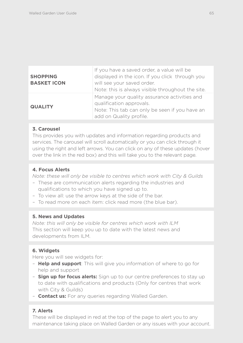| <b>SHOPPING</b><br><b>BASKET ICON</b> | If you have a saved order, a value will be<br>displayed in the icon. If you click through you<br>will see your saved order.<br>Note: this is always visible throughout the site. |
|---------------------------------------|----------------------------------------------------------------------------------------------------------------------------------------------------------------------------------|
| <b>QUALITY</b>                        | Manage your quality assurance activities and<br>qualification approvals.<br>Note: This tab can only be seen if you have an<br>add on Quality profile.                            |

#### **3. Carousel**

This provides you with updates and information regarding products and services. The carousel will scroll automatically or you can click through it using the right and left arrows. You can click on any of these updates (hover over the link in the red box) and this will take you to the relevant page.

## **4. Focus Alerts**

*Note: these will only be visible to centres which work with City & Guilds*

- *–* These are communication alerts regarding the industries and qualifications to which you have signed up to.
- *–* To view all: use the arrow keys at the side of the bar.
- *–* To read more on each item: click read more (the blue bar).

#### **5. News and Updates**

*Note: this will only be visible for centres which work with ILM* This section will keep you up to date with the latest news and developments from ILM.

## **6. Widgets**

Here you will see widgets for:

- *–* **Help and support**: This will give you information of where to go for help and support
- *–* **Sign up for focus alerts:** Sign up to our centre preferences to stay up to date with qualifications and products (Only for centres that work with City & Guilds)
- *–* **Contact us:** For any queries regarding Walled Garden.

#### **7. Alerts**

These will be displayed in red at the top of the page to alert you to any maintenance taking place on Walled Garden or any issues with your account.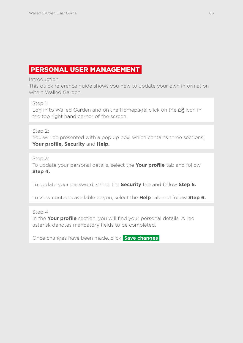## <span id="page-66-0"></span>PERSONAL USER MANAGEMENT

Introduction

This quick reference guide shows you how to update your own information within Walled Garden

Step 1:

Log in to Walled Garden and on the Homepage, click on the  $\mathbb{Q}_6^8$  icon in the top right hand corner of the screen.

Step 2:

You will be presented with a pop up box, which contains three sections; **Your profile, Security** and **Help.** 

Step 3:

To update your personal details, select the **Your profile** tab and follow **Step 4.**

To update your password, select the **Security** tab and follow **Step 5.**

To view contacts available to you, select the **Help** tab and follow **Step 6.**

Step 4

In the **Your profile** section, you will find your personal details. A red asterisk denotes mandatory fields to be completed.

Once changes have been made, click **Save changes**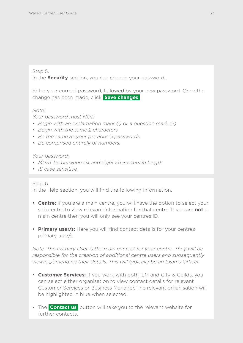#### Step 5.

In the **Security** section, you can change your password.

Enter your current password, followed by your new password. Once the change has been made, click **Save changes** 

*Note:*

*Your password must NOT:*

- *Begin with an exclamation mark (!) or a question mark (?)*
- *Begin with the same 2 characters*
- *Be the same as your previous 5 passwords*
- *Be comprised entirely of numbers.*

#### *Your password:*

- *MUST be between six and eight characters in length*
- *IS case sensitive.*

#### Step 6.

In the Help section, you will find the following information.

- **Centre:** If you are a main centre, you will have the option to select your sub centre to view relevant information for that centre. If you are **not** a main centre then you will only see your centres ID.
- **Primary user/s:** Here you will find contact details for your centres primary user/s.

*Note: The Primary User is the main contact for your centre. They will be responsible for the creation of additional centre users and subsequently viewing/amending their details. This will typically be an Exams Officer.*

- **Customer Services:** If you work with both ILM and City & Guilds, you can select either organisation to view contact details for relevant Customer Services or Business Manager. The relevant organisation will be highlighted in blue when selected.
- The **Contact us** button will take you to the relevant website for further contacts.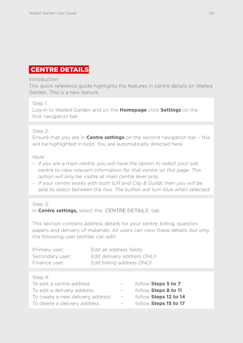# <span id="page-68-0"></span>CENTRE DETAILS

#### Introduction

This quick reference guide highlights the features in centre details on Walled Garden. This is a new feature.

#### Step 1:

Log in to Walled Garden and on the **Homepage** click **Settings** on the first navigation bar.

## Step 2:

Ensure that you are in **Centre settings** on the second navigation bar – this will be highlighted in bold. You are automatically directed here.

#### *Note:*

- *If you are a main centre, you will have the option to select your sub centre to view relevant information for that centre on this page. This option will only be visible at main centre level only.*
- *If your centre works with both ILM and City & Guilds then you will be able to select between the two. The button will turn blue when selected.*

#### Step 3: In **Centre settings,** select the CENTRE DETAILS tab.

This section contains address details for your centre, billing, question papers and delivery of materials. All users can view these details, but only the following user profiles can edit:

| Primary user:   | Edit all address fields.    |
|-----------------|-----------------------------|
| Secondary user: | Edit delivery address ONLY. |
| Finance user:   | Edit billing address ONLY.  |

#### $Stan 4$

| To edit a centre address         |       | follow Steps 5 to 7   |
|----------------------------------|-------|-----------------------|
| To edit a delivery address       |       | follow Steps 8 to 11  |
| To create a new delivery address | $ \,$ | follow Steps 12 to 14 |
| To delete a delivery address     | $ \,$ | follow Steps 15 to 17 |
|                                  |       |                       |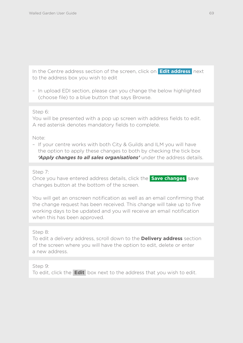In the Centre address section of the screen, click on **Edit address** next to the address box you wish to edit

– In upload EDI section, please can you change the below highlighted (choose file) to a blue button that says Browse.

#### Step 6:

You will be presented with a pop up screen with address fields to edit. A red asterisk denotes mandatory fields to complete.

Note:

– If your centre works with both City & Guilds and ILM you will have the option to apply these changes to both by checking the tick box *'Apply changes to all sales organisations'* under the address details.

Step 7:

Once you have entered address details, click the **Save changes** save changes button at the bottom of the screen.

You will get an onscreen notification as well as an email confirming that the change request has been received. This change will take up to five working days to be updated and you will receive an email notification when this has been approved.

#### Step 8:

To edit a delivery address, scroll down to the **Delivery address** section of the screen where you will have the option to edit, delete or enter a new address.

#### Step 9:

To edit, click the **Edit** box next to the address that you wish to edit.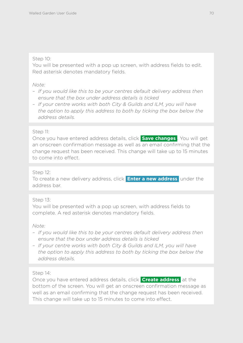### Step 10:

You will be presented with a pop up screen, with address fields to edit. Red asterisk denotes mandatory fields.

### *Note:*

- *If you would like this to be your centres default delivery address then ensure that the box under address details is ticked*
- *If your centre works with both City & Guilds and ILM, you will have the option to apply this address to both by ticking the box below the address details.*

## Step 11:

Once you have entered address details, click **Save changes** . You will get an onscreen confirmation message as well as an email confirming that the change request has been received. This change will take up to 15 minutes to come into effect.

## Step 12:

To create a new delivery address, click **Enter a new address** under the address bar.

## Step 13:

You will be presented with a pop up screen, with address fields to complete. A red asterisk denotes mandatory fields.

#### *Note:*

- *If you would like this to be your centres default delivery address then ensure that the box under address details is ticked*
- *If your centre works with both City & Guilds and ILM, you will have the option to apply this address to both by ticking the box below the address details.*

## Step 14:

Once you have entered address details, click **Create address** at the bottom of the screen. You will get an onscreen confirmation message as well as an email confirming that the change request has been received. This change will take up to 15 minutes to come into effect.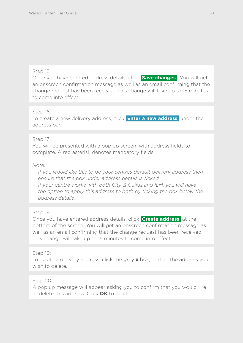#### Step 15:

Once you have entered address details, click **Save changes** . You will get an onscreen confirmation message as well as an email confirming that the change request has been received. This change will take up to 15 minutes to come into effect.

#### Step 16:

To create a new delivery address, click **Enter a new address** under the address bar.

#### Step 17:

You will be presented with a pop up screen, with address fields to complete. A red asterisk denotes mandatory fields.

#### *Note:*

- *If you would like this to be your centres default delivery address then ensure that the box under address details is ticked*
- *If your centre works with both City & Guilds and ILM, you will have the option to apply this address to both by ticking the box below the address details.*

#### Step 18:

Once you have entered address details, click **Create address** at the bottom of the screen. You will get an onscreen confirmation message as well as an email confirming that the change request has been received. This change will take up to 15 minutes to come into effect.

#### Step 19:

To delete a delivery address, click the grey **x** box, next to the address you wish to delete.

#### Step 20:

A pop up message will appear asking you to confirm that you would like to delete this address. Click **OK** to delete.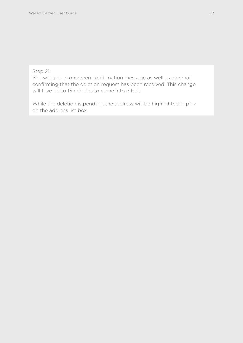### Step 21:

You will get an onscreen confirmation message as well as an email confirming that the deletion request has been received. This change will take up to 15 minutes to come into effect.

While the deletion is pending, the address will be highlighted in pink on the address list box.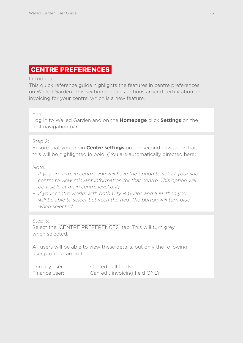### CENTRE PREFERENCES

### Introduction

This quick reference guide highlights the features in centre preferences on Walled Garden. This section contains options around certification and invoicing for your centre, which is a new feature.

### Step 1:

Log in to Walled Garden and on the **Homepage** click **Settings** on the first navigation bar.

### Step 2:

Ensure that you are in **Centre settings** on the second navigation bar, this will be highlighted in bold. (You are automatically directed here).

### *Note:*

- *If you are a main centre, you will have the option to select your sub centre to view relevant information for that centre. This option will be visible at main centre level only.*
- *If your centre works with both City & Guilds and ILM, then you*  will be able to select between the two. The button will turn blue *when selected.*

### Step 3:

Select the CENTRE PREFERENCES tab. This will turn grey when selected.

All users will be able to view these details, but only the following user profiles can edit:

| Primary user: | Can edit all fields           |
|---------------|-------------------------------|
| Finance user: | Can edit invoicing field ONLY |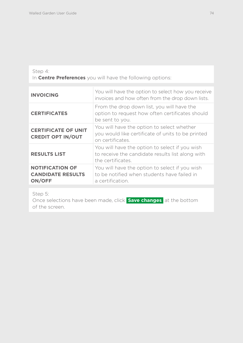### Step 4:

In **Centre Preferences** you will have the following options:

| <b>INVOICING</b>                                                    | You will have the option to select how you receive<br>invoices and how often from the drop down lists.                  |
|---------------------------------------------------------------------|-------------------------------------------------------------------------------------------------------------------------|
| <b>CERTIFICATES</b>                                                 | From the drop down list, you will have the<br>option to request how often certificates should<br>be sent to you.        |
| <b>CERTIFICATE OF UNIT</b><br><b>CREDIT OPT IN/OUT</b>              | You will have the option to select whether<br>you would like certificate of units to be printed<br>on certificates.     |
| <b>RESULTS LIST</b>                                                 | You will have the option to select if you wish<br>to receive the candidate results list along with<br>the certificates. |
| <b>NOTIFICATION OF</b><br><b>CANDIDATE RESULTS</b><br><b>ON/OFF</b> | You will have the option to select if you wish<br>to be notified when students have failed in<br>a certification.       |

Step 5:

Once selections have been made, click **Save changes** at the bottom of the screen.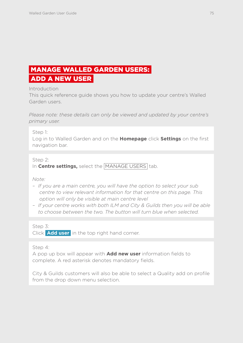# MANAGE WALLED GARDEN USERS: ADD A NEW USER

Introduction

This quick reference guide shows you how to update your centre's Walled Garden users.

*Please note: these details can only be viewed and updated by your centre's primary user.*

Step 1:

Log in to Walled Garden and on the **Homepage** click **Settings** on the first navigation bar.

Step 2:

In **Centre settings,** select the MANAGE USERS tab.

*Note:*

- *– If you are a main centre, you will have the option to select your sub centre to view relevant information for that centre on this page. This option will only be visible at main centre level*
- *If your centre works with both ILM and City & Guilds then you will be able to choose between the two. The button will turn blue when selected.*

Step 3:

Click **Add user** in the top right hand corner.

Step 4:

A pop up box will appear with **Add new user** information fields to complete. A red asterisk denotes mandatory fields.

City & Guilds customers will also be able to select a Quality add on profile from the drop down menu selection.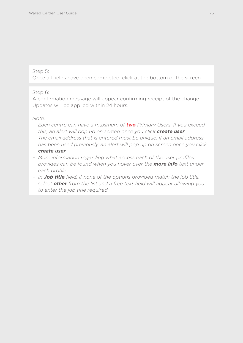Once all fields have been completed, click at the bottom of the screen.

### Step 6:

A confirmation message will appear confirming receipt of the change. Updates will be applied within 24 hours.

### *Note:*

- *Each centre can have a maximum of two Primary Users. If you exceed this, an alert will pop up on screen once you click create user*
- *The email address that is entered must be unique. If an email address has been used previously, an alert will pop up on screen once you click create user*
- *More information regarding what access each of the user profiles provides can be found when you hover over the more info text under each profile*
- *In Job title field, if none of the options provided match the job title, select other from the list and a free text field will appear allowing you to enter the job title required.*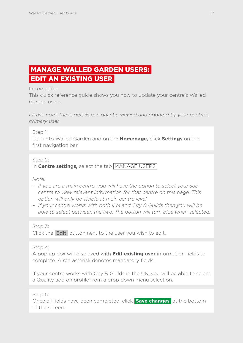# MANAGE WALLED GARDEN USERS: EDIT AN EXISTING USER

Introduction

This quick reference guide shows you how to update your centre's Walled Garden users.

*Please note: these details can only be viewed and updated by your centre's primary user.*

Step 1:

Log in to Walled Garden and on the **Homepage,** click **Settings** on the first navigation bar.

Step 2:

In **Centre settings,** select the tab MANAGE USERS

### *Note:*

- *If you are a main centre, you will have the option to select your sub centre to view relevant information for that centre on this page. This option will only be visible at main centre level*
- *If your centre works with both ILM and City & Guilds then you will be able to select between the two. The button will turn blue when selected.*

Step 3:

Click the **Edit** button next to the user you wish to edit.

Step 4:

A pop up box will displayed with **Edit existing user** information fields to complete. A red asterisk denotes mandatory fields.

If your centre works with City & Guilds in the UK, you will be able to select a Quality add on profile from a drop down menu selection.

Step 5:

Once all fields have been completed, click **Save changes** at the bottom of the screen.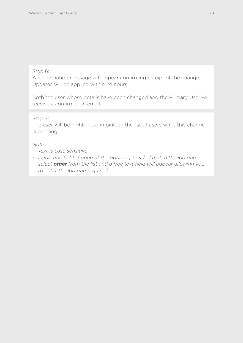### Step 6:

A confirmation message will appear confirming receipt of the change. Updates will be applied within 24 hours.

Both the user whose details have been changed and the Primary User will receive a confirmation email.

### Step 7:

The user will be highlighted in pink on the list of users while this change is pending.

### *Note:*

- *Text is case sensitive*
- *In job title field, if none of the options provided match the job title, select other from the list and a free text field will appear allowing you to enter the job title required.*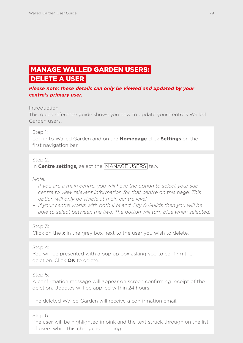### MANAGE WALLED GARDEN USERS: DELETE A USER

### *Please note: these details can only be viewed and updated by your centre's primary user.*

### Introduction

This quick reference guide shows you how to update your centre's Walled Garden users.

### Step 1:

Log in to Walled Garden and on the **Homepage** click **Settings** on the first navigation bar.

### Step 2:

In **Centre settings,** select the MANAGE USERS tab.

### *Note:*

- *If you are a main centre, you will have the option to select your sub centre to view relevant information for that centre on this page. This option will only be visible at main centre level*
- *If your centre works with both ILM and City & Guilds then you will be able to select between the two. The button will turn blue when selected.*

### Step 3:

Click on the **x** in the grey box next to the user you wish to delete.

### Step 4:

You will be presented with a pop up box asking you to confirm the deletion. Click **OK** to delete.

### Step 5:

A confirmation message will appear on screen confirming receipt of the deletion. Updates will be applied within 24 hours.

The deleted Walled Garden will receive a confirmation email.

### Step 6:

The user will be highlighted in pink and the text struck through on the list of users while this change is pending.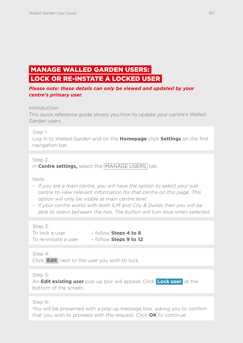# MANAGE WALLED GARDEN USERS: LOCK OR RE-INSTATE A LOCKED USER

*Please note: these details can only be viewed and updated by your centre's primary user.*

### Introduction

This quick reference guide shows you how to update your centre's Walled Garden users.

Step 1:

Log in to Walled Garden and on the **Homepage** click **Settings** on the first navigation bar.

### Step 2:

In **Centre settings,** select the MANAGE USERS tab.

### *Note:*

- *If you are a main centre, you will have the option to select your sub centre to view relevant information for that centre on this page. This option will only be visible at main centre level*
- *If your centre works with both ILM and City & Guilds then you will be able to select between the two. The button will turn blue when selected.*

Step 3:

| To lock a user       | - follow Steps 4 to 8  |
|----------------------|------------------------|
| To re-instate a user | - follow Steps 9 to 12 |

Step 4:

Click **Edit** next to the user you wish to lock.

Step 5:

An **Edit existing user** pop up box will appear. Click **Lock user** at the bottom of the screen.

Step 6:

You will be presented with a pop up message box, asking you to confirm that you wish to proceed with the request. Click **OK** to continue.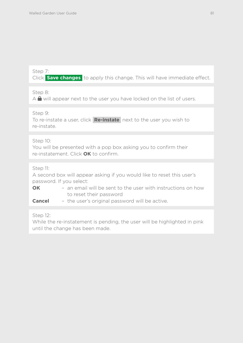Step 7:

Click **Save changes** to apply this change. This will have immediate effect.

Step 8:

 $A \bigoplus$  will appear next to the user you have locked on the list of users.

Step 9:

To re-instate a user, click **Re-instate** next to the user you wish to re-instate.

Step 10:

You will be presented with a pop box asking you to confirm their re-instatement. Click **OK** to confirm.

### Step 11:

A second box will appear asking if you would like to reset this user's password. If you select:

**OK** – an email will be sent to the user with instructions on how to reset their password

**Cancel** – the user's original password will be active.

Step 12:

While the re-instatement is pending, the user will be highlighted in pink until the change has been made.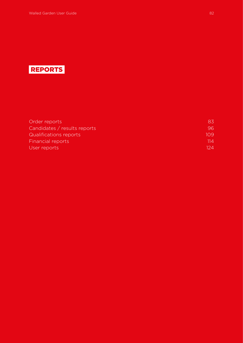# REPORTS

| Order reports                | 83   |
|------------------------------|------|
| Candidates / results reports | 96.  |
| Qualifications reports       | 109  |
| Financial reports            | 114  |
| User reports                 | 124. |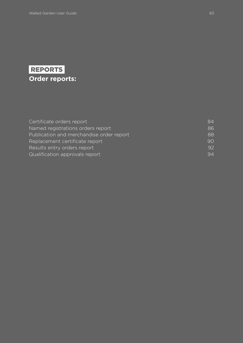# <span id="page-83-0"></span>REPORTS **Order reports:**

| Certificate orders report                | 84 |
|------------------------------------------|----|
| Named registrations orders report        | 86 |
| Publication and merchandise order report | 88 |
| Replacement certificate report           | 90 |
| Results entry orders report              | 92 |
| Qualification approvals report           | 94 |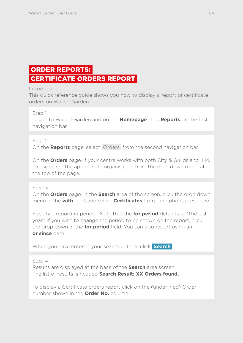# <span id="page-84-0"></span> ORDER REPORTS: CERTIFICATE ORDERS REPORT

### Introduction

This quick reference guide shows you how to display a report of certificate orders on Walled Garden.

Step 1:

Log in to Walled Garden and on the **Homepage** click **Reports** on the first navigation bar.

### Step 2:

On the **Reports** page, select Orders from the second navigation bar.

On the **Orders** page, if your centre works with both City & Guilds and ILM, please select the appropriate organisation from the drop down menu at the top of the page.

### Step 3:

On the **Orders** page, in the **Search** area of the screen, click the drop down menu in the **with** field, and select **Certificates** from the options presented.

Specify a reporting period. Note that the **for period** defaults to 'The last year'. If you wish to change the period to be shown on the report, click the drop down in the **for period** field. You can also report using an **or since** date.

When you have entered your search criteria, click **Search** 

Step 4:

Results are displayed at the base of the **Search** area screen. The list of results is headed **Search Result: XX Orders found.**

To display a Certificate orders report click on the (underlined) Order number shown in the **Order No.** column.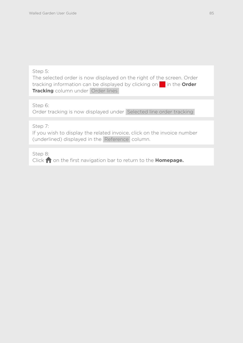The selected order is now displayed on the right of the screen. Order tracking information can be displayed by clicking on in the **Order Tracking** column under Order lines

Step 6:

Order tracking is now displayed under Selected line order tracking

Step 7:

If you wish to display the related invoice, click on the invoice number (underlined) displayed in the Reference column.

Step 8: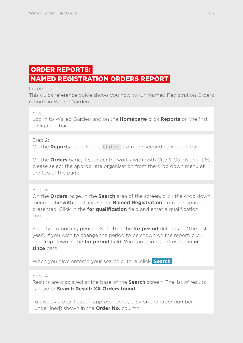# <span id="page-86-0"></span>ORDER REPORTS:

### NAMED REGISTRATION ORDERS REPORT

### Introduction

This quick reference guide shows you how to run Named Registration Orders reports in Walled Garden.

Step 1:

Log in to Walled Garden and on the **Homepage** click **Reports** on the first navigation bar.

### Step 2:

On the **Reports** page, select Orders from the second navigation bar.

On the **Orders** page, if your centre works with both City & Guilds and ILM, please select the appropriate organisation from the drop down menu at the top of the page.

### Step 3:

On the **Orders** page, in the **Search** area of the screen, click the drop down menu in the **with** field and select **Named Registration** from the options presented. Click in the **for qualification** field and enter a qualification code.

Specify a reporting period. Note that the **for period** defaults to 'The last year'. If you wish to change the period to be shown on the report, click the drop down in the **for period** field. You can also report using an **or since** date.

When you have entered your search criteria, click **Search** 

Step 4:

Results are displayed at the base of the **Search** screen. The list of results is headed **Search Result: XX Orders found.** 

To display a qualification approval order, click on the order number (underlined) shown in the **Order No.** column.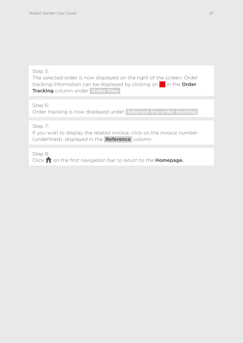The selected order is now displayed on the right of the screen. Order tracking information can be displayed by clicking on in the **Order Tracking** column under **Order lines** 

Step 6:

Order tracking is now displayed under **Selected line order tracking** 

Step 7:

If you wish to display the related invoice, click on the invoice number (underlined), displayed in the **Reference** column.

Step 8: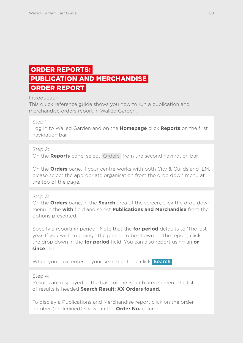### <span id="page-88-0"></span> ORDER REPORTS: PUBLICATION AND MERCHANDISE ORDER REPORT

### **Introduction**

This quick reference guide shows you how to run a publication and merchandise orders report in Walled Garden.

### Step 1:

Log in to Walled Garden and on the **Homepage** click **Reports** on the first navigation bar.

### Step 2:

On the **Reports** page, select Orders from the second navigation bar.

On the **Orders** page, if your centre works with both City & Guilds and ILM, please select the appropriate organisation from the drop down menu at the top of the page.

### Step 3:

On the **Orders** page, in the **Search** area of the screen, click the drop down menu in the **with** field and select **Publications and Merchandise** from the options presented.

Specify a reporting period. Note that the **for period** defaults to 'The last year. If you wish to change the period to be shown on the report, click the drop down in the **for period** field. You can also report using an **or since** date.

When you have entered your search criteria, click **Search** 

Step 4:

Results are displayed at the base of the Search area screen. The list of results is headed **Search Result: XX Orders found.** 

To display a Publications and Merchandise report click on the order number (underlined) shown in the **Order No.** column.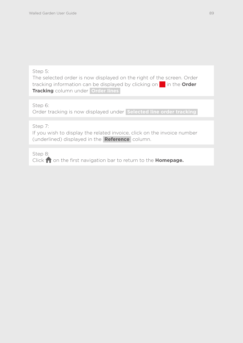The selected order is now displayed on the right of the screen. Order tracking information can be displayed by clicking on in the **Order Tracking** column under **Order lines** 

Step 6:

Order tracking is now displayed under **Selected line order tracking** 

Step 7:

If you wish to display the related invoice, click on the invoice number (underlined) displayed in the **Reference** column.

Step 8: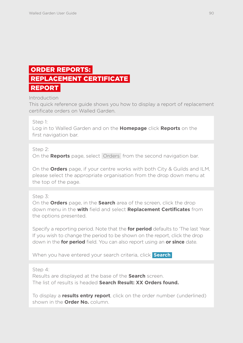### <span id="page-90-0"></span> ORDER REPORTS: REPLACEMENT CERTIFICATE REPORT

Introduction

This quick reference guide shows you how to display a report of replacement certificate orders on Walled Garden.

### Step 1:

Log in to Walled Garden and on the **Homepage** click **Reports** on the first navigation bar.

Step 2:

On the **Reports** page, select Orders from the second navigation bar.

On the **Orders** page, if your centre works with both City & Guilds and ILM, please select the appropriate organisation from the drop down menu at the top of the page.

### Step 3:

On the **Orders** page, in the **Search** area of the screen, click the drop down menu in the **with** field and select **Replacement Certificates** from the options presented.

Specify a reporting period. Note that the **for period** defaults to 'The last Year. If you wish to change the period to be shown on the report, click the drop down in the **for period** field. You can also report using an **or since** date.

When you have entered your search criteria, click **Search** 

Step 4:

Results are displayed at the base of the **Search** screen. The list of results is headed **Search Result: XX Orders found.** 

To display a **results entry report**, click on the order number (underlined) shown in the **Order No.** column.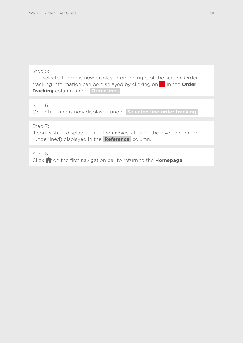The selected order is now displayed on the right of the screen. Order tracking information can be displayed by clicking on in the **Order Tracking** column under **Order lines** 

Step 6:

Order tracking is now displayed under **Selected line order tracking** 

Step 7:

If you wish to display the related invoice, click on the invoice number (underlined) displayed in the **Reference** column.

Step 8: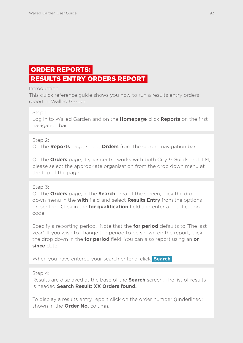# <span id="page-92-0"></span> ORDER REPORTS: RESULTS ENTRY ORDERS REPORT

### Introduction

This quick reference guide shows you how to run a results entry orders report in Walled Garden.

Step 1:

Log in to Walled Garden and on the **Homepage** click **Reports** on the first navigation bar.

### Step 2:

On the **Reports** page, select **Orders** from the second navigation bar.

On the **Orders** page, if your centre works with both City & Guilds and ILM, please select the appropriate organisation from the drop down menu at the top of the page.

### Step 3:

On the **Orders** page, in the **Search** area of the screen, click the drop down menu in the **with** field and select **Results Entry** from the options presented. Click in the **for qualification** field and enter a qualification code.

Specify a reporting period. Note that the **for period** defaults to 'The last year'. If you wish to change the period to be shown on the report, click the drop down in the **for period** field. You can also report using an **or since** date.

When you have entered your search criteria, click **Search** 

Step 4:

Results are displayed at the base of the **Search** screen. The list of results is headed **Search Result: XX Orders found.** 

To display a results entry report click on the order number (underlined) shown in the **Order No.** column.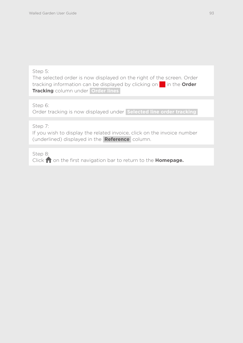The selected order is now displayed on the right of the screen. Order tracking information can be displayed by clicking on in the **Order Tracking** column under **Order lines** 

Step 6:

Order tracking is now displayed under **Selected line order tracking** 

Step 7:

If you wish to display the related invoice, click on the invoice number (underlined) displayed in the **Reference** column.

Step 8: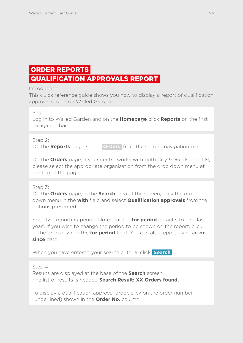### <span id="page-94-0"></span> ORDER REPORTS QUALIFICATION APPROVALS REPORT

### Introduction

This quick reference guide shows you how to display a report of qualification approval orders on Walled Garden.

Step 1:

Log in to Walled Garden and on the **Homepage** click **Reports** on the first navigation bar.

### Step 2:

On the **Reports** page, select **Orders** from the second navigation bar.

On the **Orders** page, if your centre works with both City & Guilds and ILM, please select the appropriate organisation from the drop down menu at the top of the page.

### Step 3:

On the **Orders** page, in the **Search** area of the screen, click the drop down menu in the **with** field and select **Qualification approvals** from the options presented.

Specify a reporting period. Note that the **for period** defaults to 'The last year'. If you wish to change the period to be shown on the report, click in the drop down in the **for period** field. You can also report using an **or since** date.

When you have entered your search criteria, click **Search** 

Step 4:

Results are displayed at the base of the **Search** screen. The list of results is headed **Search Result: XX Orders found.** 

To display a qualification approval order, click on the order number (underlined) shown in the **Order No.** column.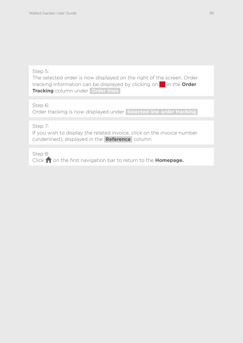The selected order is now displayed on the right of the screen. Order tracking information can be displayed by clicking on in the **Order Tracking** column under **Order lines** 

Step 6:

Order tracking is now displayed under **Selected line order tracking** 

Step 7:

If you wish to display the related invoice, click on the invoice number (underlined), displayed in the **Reference** column.

Step 8: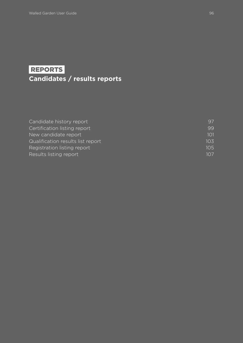# <span id="page-96-0"></span>REPORTS **Candidates / results reports**

| Candidate history report          | 97  |
|-----------------------------------|-----|
| Certification listing report      | 99  |
| New candidate report              | 101 |
| Qualification results list report | 103 |
| Registration listing report       | 105 |
| Results listing report            | 107 |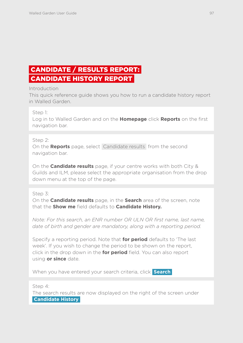# <span id="page-97-0"></span> CANDIDATE / RESULTS REPORT: CANDIDATE HISTORY REPORT

### Introduction

This quick reference guide shows you how to run a candidate history report in Walled Garden.

Step 1:

Log in to Walled Garden and on the **Homepage** click **Reports** on the first navigation bar.

### Step 2:

On the **Reports** page, select Candidate results from the second navigation bar.

On the **Candidate results** page, if your centre works with both City & Guilds and ILM, please select the appropriate organisation from the drop down menu at the top of the page.

### Step 3:

On the **Candidate results** page, in the **Search** area of the screen, note that the **Show me** field defaults to **Candidate History.** 

*Note: For this search, an ENR number OR ULN OR first name, last name, date of birth and gender are mandatory, along with a reporting period.*

Specify a reporting period. Note that **for period** defaults to 'The last week'. If you wish to change the period to be shown on the report, click in the drop down in the **for period** field. You can also report using **or since** date.

When you have entered your search criteria, click **Search** 

Step 4:

The search results are now displayed on the right of the screen under  **Candidate History**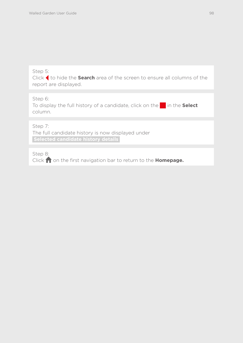Click to hide the **Search** area of the screen to ensure all columns of the report are displayed.

### Step 6:

To display the full history of a candidate, click on the **in** in the **Select** column.

Step 7:

The full candidate history is now displayed under  **Selected candidate history details** 

Step 8: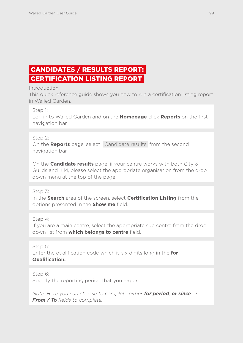# <span id="page-99-0"></span> CANDIDATES / RESULTS REPORT: CERTIFICATION LISTING REPORT

### Introduction

This quick reference guide shows you how to run a certification listing report in Walled Garden.

Step 1:

Log in to Walled Garden and on the **Homepage** click **Reports** on the first navigation bar.

### Step 2:

On the **Reports** page, select Candidate results from the second navigation bar.

On the **Candidate results** page, if your centre works with both City & Guilds and ILM, please select the appropriate organisation from the drop down menu at the top of the page.

Step 3:

In the **Search** area of the screen, select **Certification Listing** from the options presented in the **Show me** field.

Step 4:

If you are a main centre, select the appropriate sub centre from the drop down list from **which belongs to centre** field.

Step 5:

Enter the qualification code which is six digits long in the **for Qualification.**

Step 6: Specify the reporting period that you require.

*Note: Here you can choose to complete either for period, or since or From / To fields to complete.*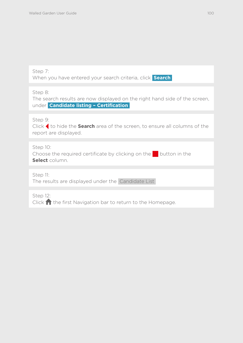| Step 7:                                                         |  |
|-----------------------------------------------------------------|--|
| When you have entered your search criteria, click <b>Search</b> |  |

Step 8:

The search results are now displayed on the right hand side of the screen, under **Candidate listing – Certification** 

Step 9:

Click to hide the **Search** area of the screen, to ensure all columns of the report are displayed.

Step 10:

Choose the required certificate by clicking on the button in the **Select** column.

Step 11:

The results are displayed under the Candidate List

Step 12: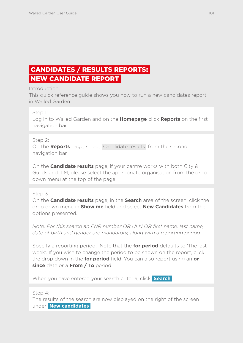# <span id="page-101-0"></span> CANDIDATES / RESULTS REPORTS: NEW CANDIDATE REPORT

### Introduction

This quick reference guide shows you how to run a new candidates report in Walled Garden.

Step 1:

Log in to Walled Garden and on the **Homepage** click **Reports** on the first navigation bar.

### Step 2:

On the **Reports** page, select Candidate results from the second navigation bar.

On the **Candidate results** page, if your centre works with both City & Guilds and ILM, please select the appropriate organisation from the drop down menu at the top of the page.

### Step 3:

On the **Candidate results** page, in the **Search** area of the screen, click the drop down menu in **Show me** field and select **New Candidates** from the options presented.

*Note: For this search an ENR number OR ULN OR first name, last name, date of birth and gender are mandatory, along with a reporting period.*

Specify a reporting period. Note that the **for period** defaults to 'The last week'. If you wish to change the period to be shown on the report, click the drop down in the **for period** field. You can also report using an **or since** date or a **From / To** period.

When you have entered your search criteria, click **Search** 

Step 4:

The results of the search are now displayed on the right of the screen under **New candidates**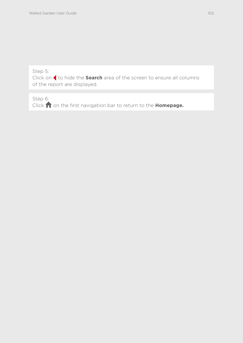Click on to hide the **Search** area of the screen to ensure all columns of the report are displayed.

Step 6: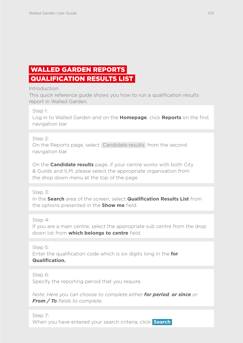# <span id="page-103-0"></span> WALLED GARDEN REPORTS QUALIFICATION RESULTS LIST

Introduction

This quick reference guide shows you how to run a qualification results report in Walled Garden.

Step 1:

Log in to Walled Garden and on the **Homepage**, click **Reports** on the first navigation bar.

### Step 2:

On the Reports page, select Candidate results from the second navigation bar.

On the **Candidate results** page, if your centre works with both City & Guilds and ILM, please select the appropriate organisation from the drop down menu at the top of the page.

Step 3:

In the **Search** area of the screen, select **Qualification Results List** from the options presented in the **Show me** field.

Step 4:

If you are a main centre, select the appropriate sub centre from the drop down list from **which belongs to centre** field.

Step 5: Enter the qualification code which is six digits long in the **for Qualification.** 

Step 6: Specify the reporting period that you require.

*Note: Here you can choose to complete either for period, or since or From / To fields to complete.*

Step 7: When you have entered your search criteria, click **Search**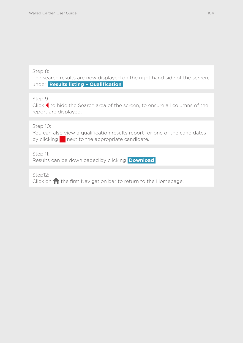### Step 8:

The search results are now displayed on the right hand side of the screen, under **Results listing – Qualification** 

Step 9:

Click to hide the Search area of the screen, to ensure all columns of the report are displayed.

Step 10:

You can also view a qualification results report for one of the candidates by clicking next to the appropriate candidate.

Step 11:

Results can be downloaded by clicking **Download** 

Step12: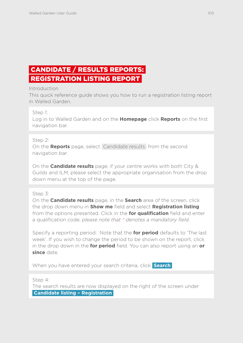# <span id="page-105-0"></span> CANDIDATE / RESULTS REPORTS: REGISTRATION LISTING REPORT

### Introduction

This quick reference guide shows you how to run a registration listing report in Walled Garden.

### Step 1:

Log in to Walled Garden and on the **Homepage** click **Reports** on the first navigation bar.

### Step 2:

On the **Reports** page, select Candidate results from the second navigation bar.

On the **Candidate results** page, if your centre works with both City & Guilds and ILM, please select the appropriate organisation from the drop down menu at the top of the page.

### Step 3:

On the **Candidate results** page, in the **Search** area of the screen, click the drop down menu in **Show me** field and select **Registration listing** from the options presented. Click in the **for qualification** field and enter a qualification code. *please note that \* denotes a mandatory field.*

Specify a reporting period. Note that the **for period** defaults to 'The last week'. If you wish to change the period to be shown on the report, click in the drop down in the **for period** field. You can also report using an **or since** date.

When you have entered your search criteria, click **Search** 

Step 4:

The search results are now displayed on the right of the screen under  **Candidate listing – Registration**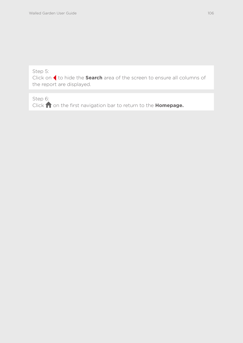Click on to hide the **Search** area of the screen to ensure all columns of the report are displayed.

Step 6: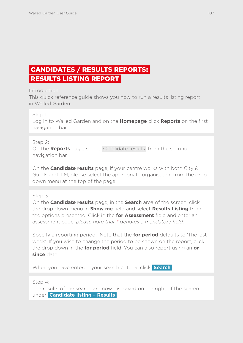# <span id="page-107-0"></span> CANDIDATES / RESULTS REPORTS: RESULTS LISTING REPORT

### Introduction

This quick reference guide shows you how to run a results listing report in Walled Garden.

### Step 1:

Log in to Walled Garden and on the **Homepage** click **Reports** on the first navigation bar.

### Step 2:

On the **Reports** page, select Candidate results from the second navigation bar.

On the **Candidate results** page, if your centre works with both City & Guilds and ILM, please select the appropriate organisation from the drop down menu at the top of the page.

### Step 3:

On the **Candidate results** page, in the **Search** area of the screen, click the drop down menu in **Show me** field and select **Results Listing** from the options presented. Click in the **for Assessment** field and enter an assessment code. *please note that \* denotes a mandatory field*.

Specify a reporting period. Note that the **for period** defaults to 'The last week'. If you wish to change the period to be shown on the report, click the drop down in the **for period** field. You can also report using an **or since** date.

When you have entered your search criteria, click **Search** 

Step 4:

The results of the search are now displayed on the right of the screen under **Candidate listing – Results**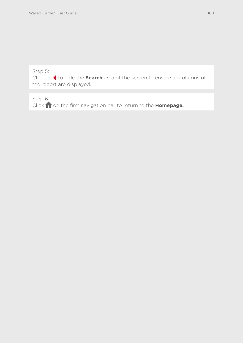Click on to hide the **Search** area of the screen to ensure all columns of the report are displayed.

Step 6:

Click **on** the first navigation bar to return to the **Homepage.**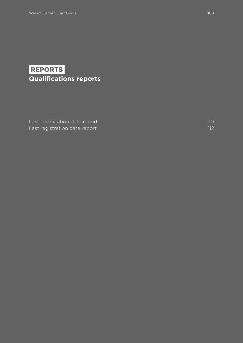# REPORTS **Qualifications reports**

[Last certification date report](#page-110-0) 110 [Last registration date report](#page-112-0) 112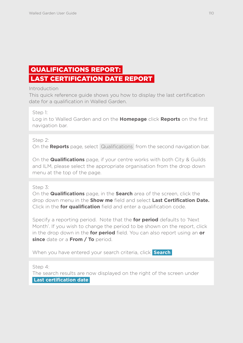# <span id="page-110-0"></span> QUALIFICATIONS REPORT: LAST CERTIFICATION DATE REPORT

### Introduction

This quick reference guide shows you how to display the last certification date for a qualification in Walled Garden.

Step 1:

Log in to Walled Garden and on the **Homepage** click **Reports** on the first navigation bar.

### Step 2:

On the **Reports** page, select Qualifications from the second navigation bar.

On the **Qualifications** page, if your centre works with both City & Guilds and ILM, please select the appropriate organisation from the drop down menu at the top of the page.

### Step 3:

On the **Qualifications** page, in the **Search** area of the screen, click the drop down menu in the **Show me** field and select **Last Certification Date.** Click in the **for qualification** field and enter a qualification code.

Specify a reporting period. Note that the **for period** defaults to 'Next Month'. If you wish to change the period to be shown on the report, click in the drop down in the **for period** field. You can also report using an **or since** date or a **From / To** period.

When you have entered your search criteria, click **Search** 

Step 4:

The search results are now displayed on the right of the screen under  **Last certification date**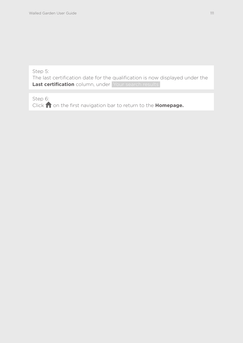The last certification date for the qualification is now displayed under the Last certification column, under Your search results

Step 6: Click **on** the first navigation bar to return to the **Homepage.**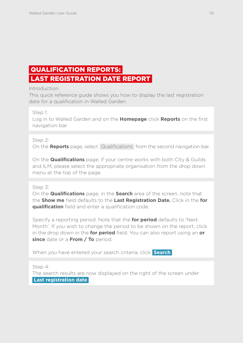# <span id="page-112-0"></span> QUALIFICATION REPORTS: LAST REGISTRATION DATE REPORT

### Introduction

This quick reference guide shows you how to display the last registration date for a qualification in Walled Garden.

Step 1:

Log in to Walled Garden and on the **Homepage** click **Reports** on the first navigation bar.

### Step 2:

On the **Reports** page, select Qualifications from the second navigation bar.

On the **Qualifications** page, if your centre works with both City & Guilds and ILM, please select the appropriate organisation from the drop down menu at the top of the page.

Step 3:

On the **Qualifications** page, in the **Search** area of the screen, note that the **Show me** field defaults to the **Last Registration Date.** Click in the **for qualification** field and enter a qualification code.

Specify a reporting period. Note that the **for period** defaults to 'Next Month'. If you wish to change the period to be shown on the report, click in the drop down in the **for period** field. You can also report using an **or since** date or a **From / To** period.

When you have entered your search criteria, click **Search** 

Step 4:

The search results are now displayed on the right of the screen under  **Last registration date**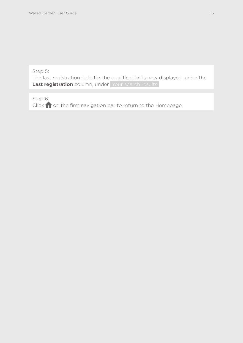The last registration date for the qualification is now displayed under the Last registration column, under Your search results

Step 6: Click  $\bigcap$  on the first navigation bar to return to the Homepage.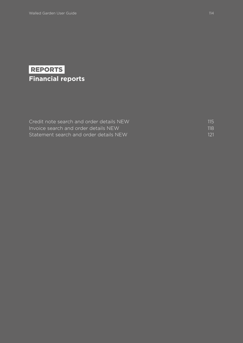# REPORTS **Financial reports**

| Credit note search and order details NEW | 115 |
|------------------------------------------|-----|
| Invoice search and order details NEW     | 118 |
| Statement search and order details NEW   | 121 |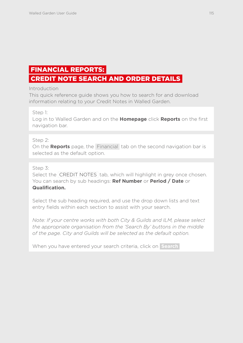# <span id="page-115-0"></span>FINANCIAL REPORTS:

## CREDIT NOTE SEARCH AND ORDER DETAILS

Introduction

This quick reference guide shows you how to search for and download information relating to your Credit Notes in Walled Garden.

Step 1:

Log in to Walled Garden and on the **Homepage** click **Reports** on the first navigation bar.

Step 2:

On the **Reports** page, the Financial tab on the second navigation bar is selected as the default option.

Step 3:

Select the CREDIT NOTES tab, which will highlight in grey once chosen. You can search by sub headings: **Ref Number** or **Period / Date** or **Qualification.** 

Select the sub heading required, and use the drop down lists and text entry fields within each section to assist with your search.

*Note: If your centre works with both City & Guilds and ILM, please select the appropriate organisation from the 'Search By' buttons in the middle of the page. City and Guilds will be selected as the default option.* 

When you have entered your search criteria, click on **Search**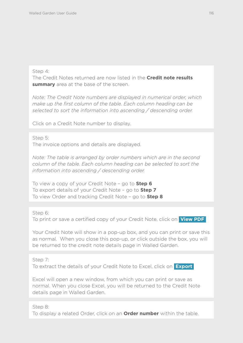### Step 4:

The Credit Notes returned are now listed in the **Credit note results summary** area at the base of the screen.

*Note: The Credit Note numbers are displayed in numerical order, which make up the first column of the table. Each column heading can be selected to sort the information into ascending / descending order.* 

Click on a Credit Note number to display.

Step 5:

The invoice options and details are displayed.

*Note: The table is arranged by order numbers which are in the second column of the table. Each column heading can be selected to sort the information into ascending / descending order.* 

To view a copy of your Credit Note – go to **Step 6** To export details of your Credit Note – go to **Step 7** To view Order and tracking Credit Note – go to **Step 8**

Step 6:

To print or save a certified copy of your Credit Note, click on **View PDF** 

Your Credit Note will show in a pop-up box, and you can print or save this as normal. When you close this pop-up, or click outside the box, you will be returned to the credit note details page in Walled Garden.

Step 7:

To extract the details of your Credit Note to Excel, click on **Export** 

Excel will open a new window, from which you can print or save as normal. When you close Excel, you will be returned to the Credit Note details page in Walled Garden.

Step 8:

To display a related Order, click on an **Order number** within the table.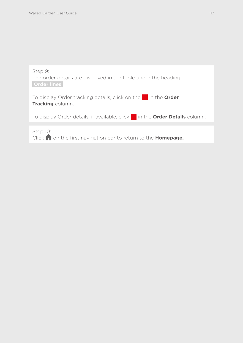

Click **n** on the first navigation bar to return to the **Homepage.**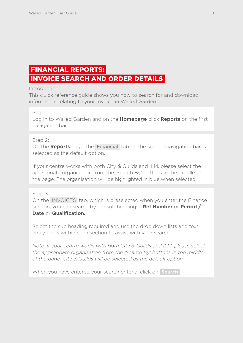# <span id="page-118-0"></span>FINANCIAL REPORTS:

### INVOICE SEARCH AND ORDER DETAILS

Introduction

This quick reference guide shows you how to search for and download information relating to your Invoice in Walled Garden.

Step 1:

Log in to Walled Garden and on the **Homepage** click **Reports** on the first navigation bar.

### Step 2:

On the **Reports** page, the Financial tab on the second navigation bar is selected as the default option.

If your centre works with both City & Guilds and ILM, please select the appropriate organisation from the 'Search By' buttons in the middle of the page. The organisation will be highlighted in blue when selected.

Step 3:

On the INVOICES tab, which is preselected when you enter the Finance section, you can search by the sub headings: **Ref Number** or **Period / Date** or **Qualification.**

Select the sub heading required and use the drop down lists and text entry fields within each section to assist with your search.

*Note: If your centre works with both City & Guilds and ILM, please select the appropriate organisation from the 'Search By' buttons in the middle of the page. City & Guilds will be selected as the default option.* 

When you have entered your search criteria, click on **Search**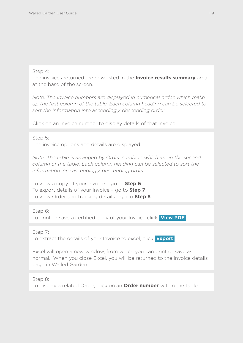### Step 4:

The invoices returned are now listed in the **Invoice results summary** area at the base of the screen.

*Note: The Invoice numbers are displayed in numerical order, which make up the first column of the table. Each column heading can be selected to sort the information into ascending / descending order.* 

Click on an Invoice number to display details of that invoice.

Step 5: The invoice options and details are displayed.

*Note: The table is arranged by Order numbers which are in the second column of the table. Each column heading can be selected to sort the information into ascending / descending order.* 

To view a copy of your Invoice – go to **Step 6** To export details of your Invoice – go to **Step 7** To view Order and tracking details – go to **Step 8**

Step 6: To print or save a certified copy of your Invoice click **View PDF** 

Step 7:

To extract the details of your Invoice to excel, click **Export** 

Excel will open a new window, from which you can print or save as normal. When you close Excel, you will be returned to the Invoice details page in Walled Garden.

Step 8:

To display a related Order, click on an **Order number** within the table.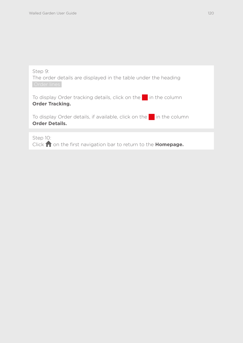| Step 9:<br>The order details are displayed in the table under the heading<br>Order lines                   |
|------------------------------------------------------------------------------------------------------------|
| To display Order tracking details, click on the $\blacksquare$ in the column<br><b>Order Tracking.</b>     |
| To display Order details, if available, click on the $\blacksquare$ in the column<br><b>Order Details.</b> |
|                                                                                                            |
| Step 10:<br>Click non the first navigation bar to return to the Homepage.                                  |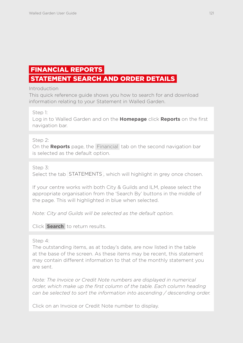# <span id="page-121-0"></span>FINANCIAL REPORTS

## STATEMENT SEARCH AND ORDER DETAILS

Introduction

This quick reference guide shows you how to search for and download information relating to your Statement in Walled Garden.

Step 1:

Log in to Walled Garden and on the **Homepage** click **Reports** on the first navigation bar.

Step 2:

On the **Reports** page, the Financial tab on the second navigation bar is selected as the default option.

Step 3:

Select the tab STATEMENTS, which will highlight in grey once chosen.

If your centre works with both City & Guilds and ILM, please select the appropriate organisation from the 'Search By' buttons in the middle of the page. This will highlighted in blue when selected.

*Note: City and Guilds will be selected as the default option.* 

Click **Search** to return results.

Step 4:

The outstanding items, as at today's date, are now listed in the table at the base of the screen. As these items may be recent, this statement may contain different information to that of the monthly statement you are sent.

*Note: The Invoice or Credit Note numbers are displayed in numerical order, which make up the first column of the table. Each column heading can be selected to sort the information into ascending / descending order.* 

Click on an Invoice or Credit Note number to display.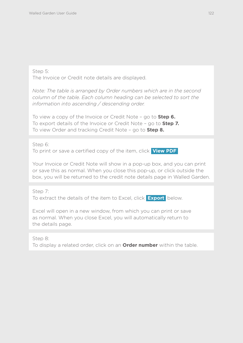The Invoice or Credit note details are displayed.

*Note: The table is arranged by Order numbers which are in the second column of the table. Each column heading can be selected to sort the information into ascending / descending order.* 

To view a copy of the Invoice or Credit Note – go to **Step 6.** To export details of the Invoice or Credit Note – go to **Step 7.** To view Order and tracking Credit Note – go to **Step 8.**

Step 6: To print or save a certified copy of the item, click **View PDF** 

Your Invoice or Credit Note will show in a pop-up box, and you can print or save this as normal. When you close this pop-up, or click outside the box, you will be returned to the credit note details page in Walled Garden.

Step 7: To extract the details of the item to Excel, click **Export** below.

Excel will open in a new window, from which you can print or save as normal. When you close Excel, you will automatically return to the details page.

Step 8:

To display a related order, click on an **Order number** within the table.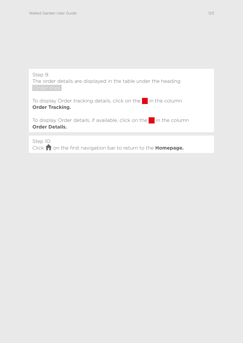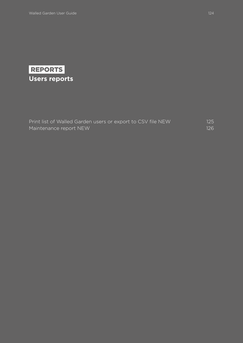

| Print list of Walled Garden users or export to CSV file NEW | 125 |
|-------------------------------------------------------------|-----|
| Maintenance report NEW                                      | 126 |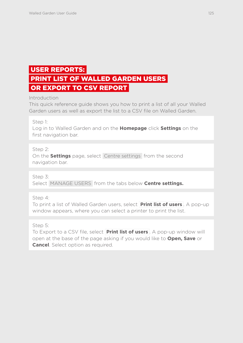## <span id="page-125-0"></span> USER REPORTS: PRINT LIST OF WALLED GARDEN USERS OR EXPORT TO CSV REPORT

### Introduction

This quick reference guide shows you how to print a list of all your Walled Garden users as well as export the list to a CSV file on Walled Garden.

Step 1:

Log in to Walled Garden and on the **Homepage** click **Settings** on the first navigation bar.

### Step 2:

On the **Settings** page, select Centre settings from the second navigation bar.

Step 3:

Select MANAGE USERS from the tabs below **Centre settings.**

Step 4:

To print a list of Walled Garden users, select **Print list of users** . A pop-up window appears, where you can select a printer to print the list.

Step 5:

To Export to a CSV file, select **Print list of users** . A pop-up window will open at the base of the page asking if you would like to **Open, Save** or **Cancel**. Select option as required.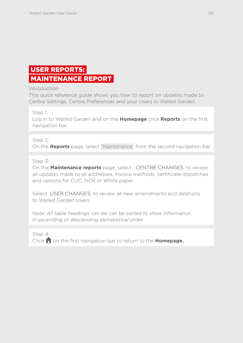# <span id="page-126-0"></span> USER REPORTS: MAINTENANCE REPORT

Introduction

This quick reference guide shows you how to report on updates made to Centre Settings, Centre Preferences and your Users in Walled Garden.

Step 1:

Log in to Walled Garden and on the **Homepage** click **Reports** on the first navigation bar.

Step 2:

On the **Reports** page, select Maintenance from the second navigation bar

Step 3:

On the **Maintenance reports** page, select CENTRE CHANGES to review all updates made to all addresses, invoice methods, certificate dispatches and options for CUC, NCR or White paper.

Select USER CHANGES to review all new amendments and deletions to Walled Garden Users.

*Note: All table headings can be can be sorted to show information in ascending or descending alphabetical order.* 

Step 4: Click **n** on the first navigation bar to return to the **Homepage.**